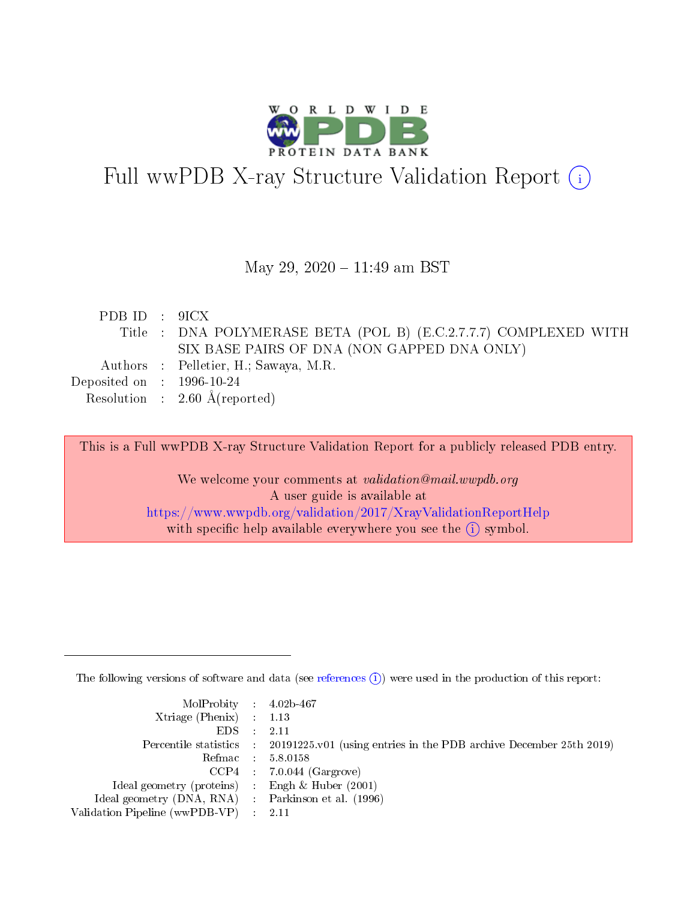

# Full wwPDB X-ray Structure Validation Report (i)

#### May 29, 2020 - 11:49 am BST

| PDBID : 9ICX                |                                                                  |
|-----------------------------|------------------------------------------------------------------|
|                             | Title : DNA POLYMERASE BETA (POL B) (E.C.2.7.7.7) COMPLEXED WITH |
|                             | SIX BASE PAIRS OF DNA (NON GAPPED DNA ONLY)                      |
|                             | Authors : Pelletier, H.; Sawaya, M.R.                            |
| Deposited on : $1996-10-24$ |                                                                  |
|                             | Resolution : $2.60 \text{ Å}$ (reported)                         |

This is a Full wwPDB X-ray Structure Validation Report for a publicly released PDB entry.

We welcome your comments at validation@mail.wwpdb.org A user guide is available at <https://www.wwpdb.org/validation/2017/XrayValidationReportHelp> with specific help available everywhere you see the  $(i)$  symbol.

The following versions of software and data (see [references](https://www.wwpdb.org/validation/2017/XrayValidationReportHelp#references)  $(i)$ ) were used in the production of this report:

| MolProbity : 4.02b-467                              |                                                                                            |
|-----------------------------------------------------|--------------------------------------------------------------------------------------------|
| $Xtriangle (Phenix)$ : 1.13                         |                                                                                            |
| $EDS = 2.11$                                        |                                                                                            |
|                                                     | Percentile statistics : 20191225.v01 (using entries in the PDB archive December 25th 2019) |
|                                                     | Refmac : 5.8.0158                                                                          |
|                                                     | $CCP4$ : 7.0.044 (Gargrove)                                                                |
| Ideal geometry (proteins) : Engh $\&$ Huber (2001)  |                                                                                            |
| Ideal geometry (DNA, RNA) : Parkinson et al. (1996) |                                                                                            |
| Validation Pipeline (wwPDB-VP) : 2.11               |                                                                                            |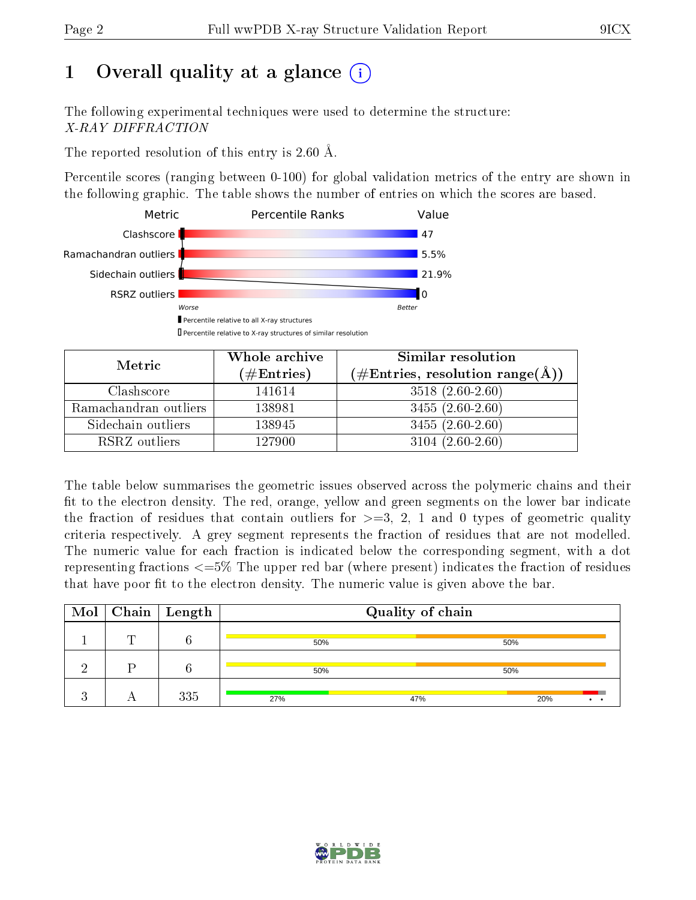# 1 [O](https://www.wwpdb.org/validation/2017/XrayValidationReportHelp#overall_quality)verall quality at a glance  $(i)$

The following experimental techniques were used to determine the structure: X-RAY DIFFRACTION

The reported resolution of this entry is 2.60 Å.

Percentile scores (ranging between 0-100) for global validation metrics of the entry are shown in the following graphic. The table shows the number of entries on which the scores are based.



| Metric                | Whole archive<br>$(\#\mathrm{Entries})$ | Similar resolution<br>$(\#\text{Entries}, \text{resolution range}(\text{\AA}))$ |
|-----------------------|-----------------------------------------|---------------------------------------------------------------------------------|
| Clashscore            | 141614                                  | $3518(2.60-2.60)$                                                               |
| Ramachandran outliers | 138981                                  | $3455(2.60-2.60)$                                                               |
| Sidechain outliers    | 138945                                  | $3455(2.60-2.60)$                                                               |
| RSRZ outliers         | 127900                                  | $3104(2.60-2.60)$                                                               |

The table below summarises the geometric issues observed across the polymeric chains and their fit to the electron density. The red, orange, yellow and green segments on the lower bar indicate the fraction of residues that contain outliers for  $\geq=3$ , 2, 1 and 0 types of geometric quality criteria respectively. A grey segment represents the fraction of residues that are not modelled. The numeric value for each fraction is indicated below the corresponding segment, with a dot representing fractions  $\epsilon=5\%$  The upper red bar (where present) indicates the fraction of residues that have poor fit to the electron density. The numeric value is given above the bar.

| Mol |   | $\sqrt{\phantom{a}}$ Chain $\sqrt{\phantom{a}}$ Length | Quality of chain |     |     |  |
|-----|---|--------------------------------------------------------|------------------|-----|-----|--|
|     | m |                                                        | 50%              |     | 50% |  |
|     |   |                                                        | 50%              |     | 50% |  |
|     |   | 335                                                    | 27%              | 47% | 20% |  |

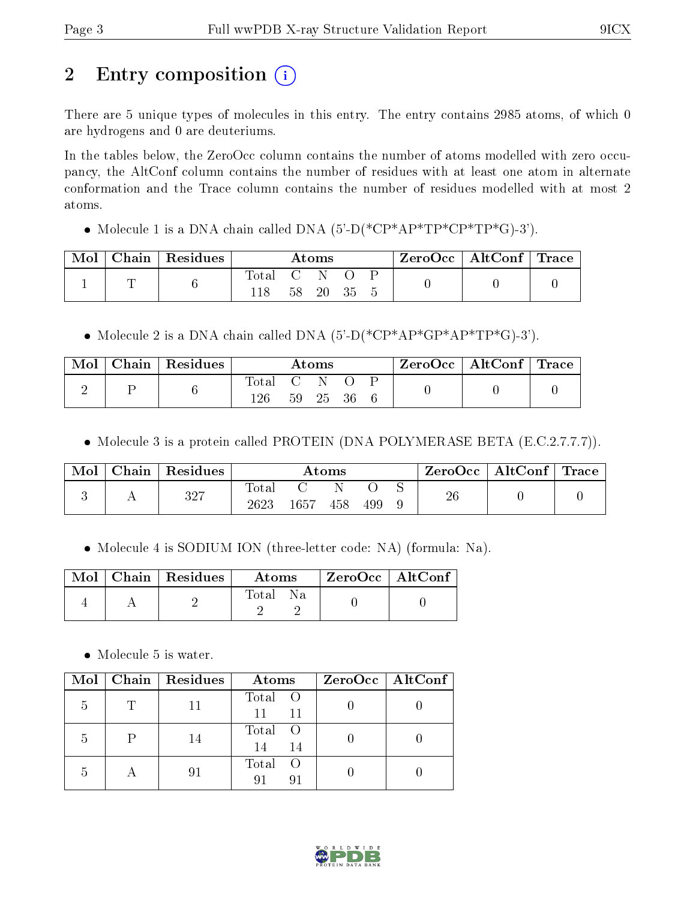# 2 Entry composition  $\left( \cdot \right)$

There are 5 unique types of molecules in this entry. The entry contains 2985 atoms, of which 0 are hydrogens and 0 are deuteriums.

In the tables below, the ZeroOcc column contains the number of atoms modelled with zero occupancy, the AltConf column contains the number of residues with at least one atom in alternate conformation and the Trace column contains the number of residues modelled with at most 2 atoms.

• Molecule 1 is a DNA chain called DNA  $(5'-D(*\text{CP}^*AP*TP*\text{CP}^*TP*G)-3')$ .

| $\text{Mol}$ | $\mid$ Chain $\mid$ Residues $\mid$ | $\rm{Atoms}$     |  |          | $\text{ZeroOcc} \mid \text{AltConf} \mid \text{Trace}$ |  |  |  |
|--------------|-------------------------------------|------------------|--|----------|--------------------------------------------------------|--|--|--|
|              |                                     | Total C N<br>118 |  | 58 20 35 |                                                        |  |  |  |

• Molecule 2 is a DNA chain called DNA  $(5'-D(*\text{CP*AP*GP*AP*TP*G})-3')$ .

| Mol | Chain Residues |              |                   | Atoms    |  | $\text{ZeroOcc} \mid \text{AltConf} \mid \text{Trace}$ |  |
|-----|----------------|--------------|-------------------|----------|--|--------------------------------------------------------|--|
| ↵   |                | Total<br>126 | $\sim$ 0.1 $\sim$ | 59 25 36 |  |                                                        |  |

• Molecule 3 is a protein called PROTEIN (DNA POLYMERASE BETA (E.C.2.7.7.7)).

| Mol | Chain Residues |                        |          | $\rm{Atoms}$ |     | ZeroOcc | $\mid$ AltConf $\mid$ Trace $\mid$ |  |
|-----|----------------|------------------------|----------|--------------|-----|---------|------------------------------------|--|
|     | 327            | $_{\rm Total}$<br>2623 | $1657\,$ | 458          | 499 | 26      |                                    |  |

• Molecule 4 is SODIUM ION (three-letter code: NA) (formula: Na).

|  | Mol   Chain   Residues | Atoms       | $ZeroOcc \mid AltConf$ |  |
|--|------------------------|-------------|------------------------|--|
|  |                        | Total<br>Nа |                        |  |

• Molecule 5 is water.

| Mol | Chain   Residues | Atoms               | $ZeroOcc$   AltConf |
|-----|------------------|---------------------|---------------------|
| 5   |                  | Total O<br>11<br>11 |                     |
| 5   | 14               | Total<br>14<br>-14  |                     |
| .h  | 91               | Total<br>$\circ$ O  |                     |

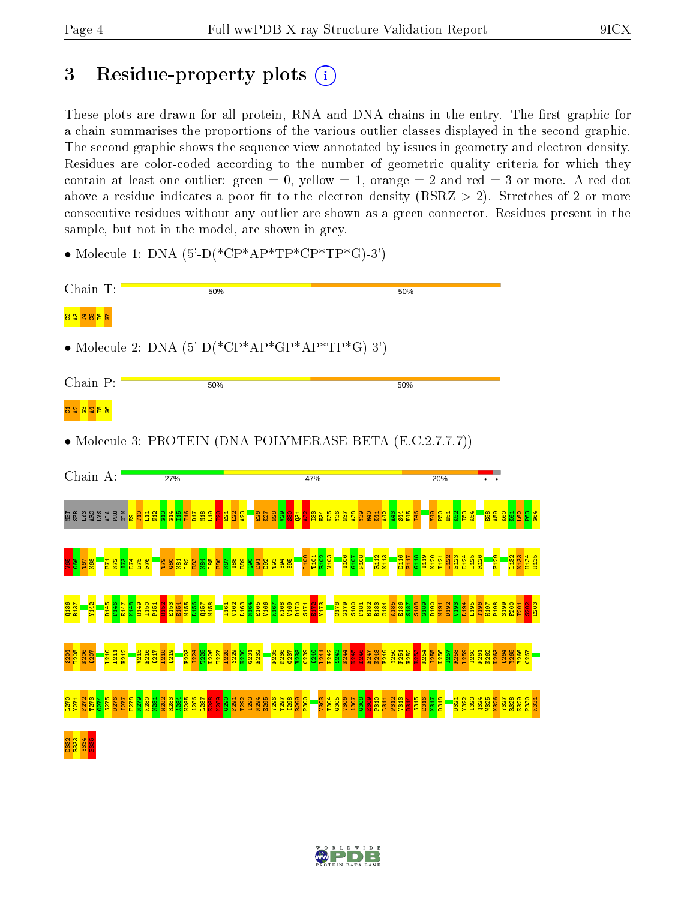## 3 Residue-property plots  $(i)$

These plots are drawn for all protein, RNA and DNA chains in the entry. The first graphic for a chain summarises the proportions of the various outlier classes displayed in the second graphic. The second graphic shows the sequence view annotated by issues in geometry and electron density. Residues are color-coded according to the number of geometric quality criteria for which they contain at least one outlier: green  $= 0$ , yellow  $= 1$ , orange  $= 2$  and red  $= 3$  or more. A red dot above a residue indicates a poor fit to the electron density (RSRZ  $> 2$ ). Stretches of 2 or more consecutive residues without any outlier are shown as a green connector. Residues present in the sample, but not in the model, are shown in grey.

• Molecule 1: DNA  $(5)-D(*\text{CP*AP*TP*CP*TP*G})-3'$ 



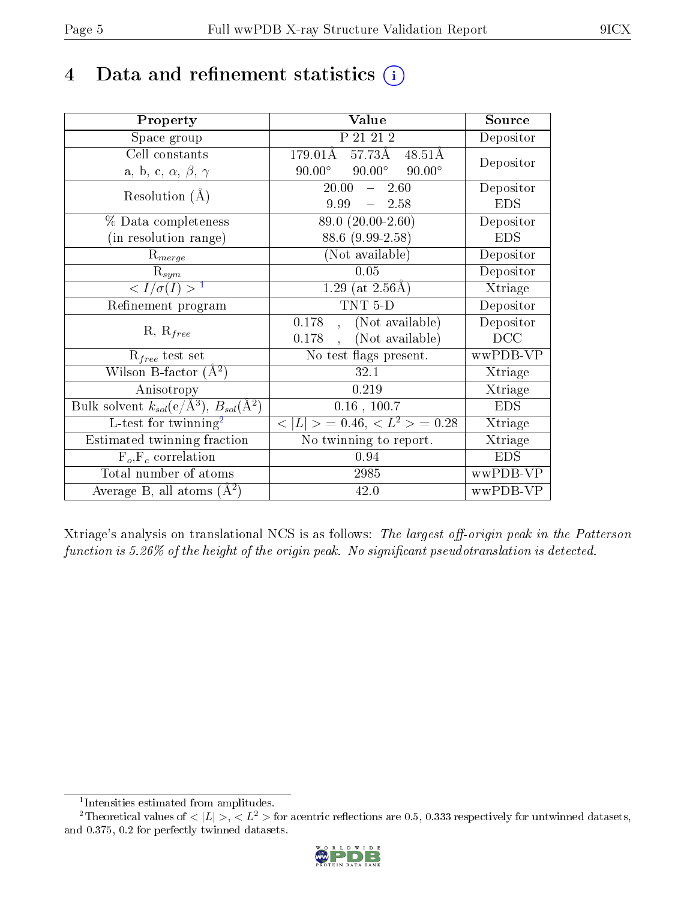## 4 Data and refinement statistics  $(i)$

| Property                                                         | Value                                             | Source                       |
|------------------------------------------------------------------|---------------------------------------------------|------------------------------|
| Space group                                                      | P 21 21 2                                         | Depositor                    |
| Cell constants                                                   | 57.73Å<br>$179.01\text{\AA}$<br>$48.51\text{\AA}$ | Depositor                    |
| a, b, c, $\alpha$ , $\beta$ , $\gamma$                           | $90.00^\circ$<br>$90.00^\circ$<br>$90.00^{\circ}$ |                              |
| Resolution $(A)$                                                 | 20.00<br>$\frac{1}{2}$<br>2.60                    | Depositor                    |
|                                                                  | 9.99<br>$-2.58$                                   | <b>EDS</b>                   |
| % Data completeness                                              | 89.0 (20.00-2.60)                                 | Depositor                    |
| (in resolution range)                                            | 88.6 (9.99-2.58)                                  | <b>EDS</b>                   |
| $R_{merge}$                                                      | (Not available)                                   | Depositor                    |
| $\mathrm{R}_{sym}$                                               | 0.05                                              | Depositor                    |
| $\langle I/\sigma(I) \rangle^{-1}$                               | 1.29 (at $2.56\text{\AA}$ )                       | Xtriage                      |
| Refinement program                                               | TNT <sub>5</sub> D                                | Depositor                    |
|                                                                  | (Not available)<br>0.178                          | Depositor                    |
| $R, R_{free}$                                                    | (Not available)<br>0.178                          | DCC                          |
| $R_{free}$ test set                                              | No test flags present.                            | wwPDB-VP                     |
| Wilson B-factor $(A^2)$                                          | 32.1                                              | Xtriage                      |
| Anisotropy                                                       | 0.219                                             | Xtriage                      |
| Bulk solvent $k_{sol}(\text{e}/\text{A}^3), B_{sol}(\text{A}^2)$ | $0.16$ , 100.7                                    | <b>EDS</b>                   |
| L-test for twinning <sup>2</sup>                                 | $< L >$ = 0.46, $< L^2 >$ = 0.28                  | Xtriage                      |
| Estimated twinning fraction                                      | No twinning to report.                            | $\overline{\text{X}}$ triage |
| $F_o, F_c$ correlation                                           | 0.94                                              | <b>EDS</b>                   |
| Total number of atoms                                            | 2985                                              | wwPDB-VP                     |
| Average B, all atoms $(A^2)$                                     | 42.0                                              | wwPDB-VP                     |

Xtriage's analysis on translational NCS is as follows: The largest off-origin peak in the Patterson function is  $5.26\%$  of the height of the origin peak. No significant pseudotranslation is detected.

<sup>&</sup>lt;sup>2</sup>Theoretical values of  $\langle |L| \rangle$ ,  $\langle L^2 \rangle$  for acentric reflections are 0.5, 0.333 respectively for untwinned datasets, and 0.375, 0.2 for perfectly twinned datasets.



<span id="page-4-1"></span><span id="page-4-0"></span><sup>1</sup> Intensities estimated from amplitudes.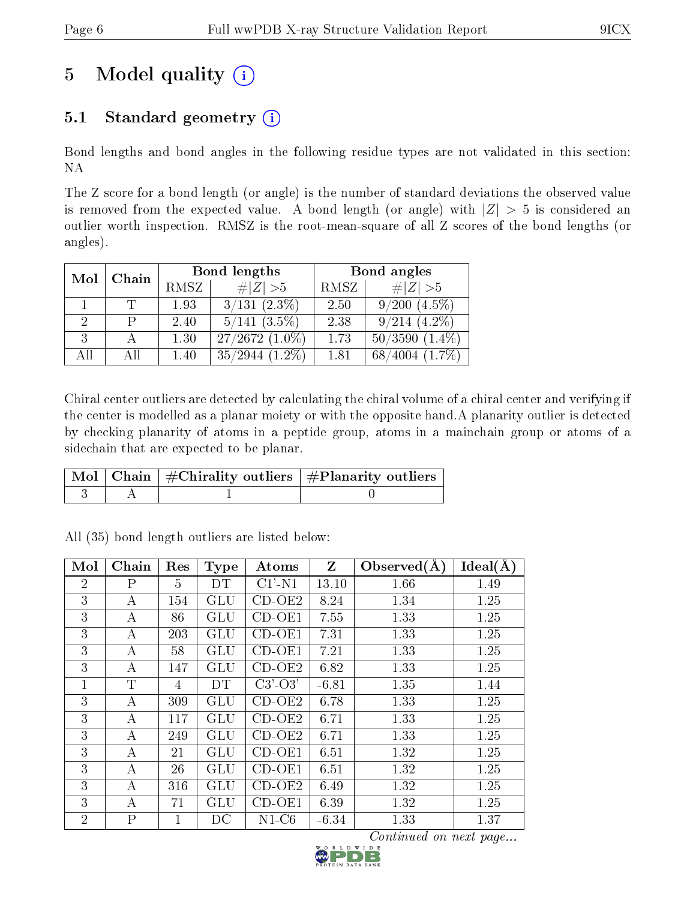# 5 Model quality  $(i)$

### 5.1 Standard geometry  $(i)$

Bond lengths and bond angles in the following residue types are not validated in this section: NA

The Z score for a bond length (or angle) is the number of standard deviations the observed value is removed from the expected value. A bond length (or angle) with  $|Z| > 5$  is considered an outlier worth inspection. RMSZ is the root-mean-square of all Z scores of the bond lengths (or angles).

| Mol | Chain |      | Bond lengths         | Bond angles |                                     |  |
|-----|-------|------|----------------------|-------------|-------------------------------------|--|
|     |       | RMSZ | # $ Z >5$            | RMSZ        | # $ Z >5$                           |  |
|     |       | 1.93 | $3/131$ $(2.3\%)$    | 2.50        | $9/200$ $(4.5\%)$                   |  |
|     |       | 2.40 | $5/141$ $(3.5\%)$    | 2.38        | $9/214$ $(4.2\%)$                   |  |
| 3   |       | 1.30 | $27/2672$ $(1.0\%)$  | 1.73        | 50/3590<br>$(1.4\%)$                |  |
| All | Аll   | 1.40 | 35/2944<br>$(1.2\%)$ | 1.81        | $(1.7\%)$<br>$^{\prime}4004$<br>68/ |  |

Chiral center outliers are detected by calculating the chiral volume of a chiral center and verifying if the center is modelled as a planar moiety or with the opposite hand.A planarity outlier is detected by checking planarity of atoms in a peptide group, atoms in a mainchain group or atoms of a sidechain that are expected to be planar.

|  | $\begin{array}{ c c c }\hline \text{Mol} & \text{Chain} & \#\text{Chirality outliers} & \#\text{Planarity outliers} \end{array}$ |
|--|----------------------------------------------------------------------------------------------------------------------------------|
|  |                                                                                                                                  |

| Mol            | Chain            | Res | Type                 | Atoms         | Z       | Observed $(A)$ | Ideal(A) |
|----------------|------------------|-----|----------------------|---------------|---------|----------------|----------|
| $\overline{2}$ | $\rm P$          | 5   | DT                   | $Cl'$ -N1     | 13.10   | 1.66           | 1.49     |
| 3              | А                | 154 | GLU                  | $CD-OE2$      | 8.24    | 1.34           | 1.25     |
| 3              | А                | 86  | GLU                  | $CD-OE1$      | 7.55    | 1.33           | 1.25     |
| 3              | $\boldsymbol{A}$ | 203 | $\operatorname{GLU}$ | $CD-OE1$      | 7.31    | 1.33           | 1.25     |
| 3              | А                | 58  | <b>GLU</b>           | $CD-OE1$      | 7.21    | 1.33           | 1.25     |
| 3              | А                | 147 | GLU                  | $CD-OE2$      | 6.82    | 1.33           | 1.25     |
| $\mathbf{1}$   | $\mathbf T$      | 4   | DT                   | $C3'$ - $O3'$ | $-6.81$ | 1.35           | 1.44     |
| 3              | A                | 309 | GLU                  | $CD-OE2$      | 6.78    | 1.33           | 1.25     |
| 3              | А                | 117 | GLU                  | $CD-OE2$      | 6.71    | 1.33           | 1.25     |
| 3              | А                | 249 | GLU                  | $CD-OE2$      | 6.71    | 1.33           | 1.25     |
| 3              | A                | 21  | GLU                  | $CD-OE1$      | 6.51    | 1.32           | 1.25     |
| 3              | $\boldsymbol{A}$ | 26  | GLU                  | $CD-OE1$      | 6.51    | 1.32           | 1.25     |
| 3              | $\boldsymbol{A}$ | 316 | GLU                  | $CD-OE2$      | 6.49    | 1.32           | 1.25     |
| 3              | A                | 71  | GLU                  | $CD-OE1$      | 6.39    | 1.32           | 1.25     |
| $\overline{2}$ | $\mathbf{P}$     | 1   | DC                   | $N1-C6$       | $-6.34$ | 1.33           | 1.37     |

All (35) bond length outliers are listed below:

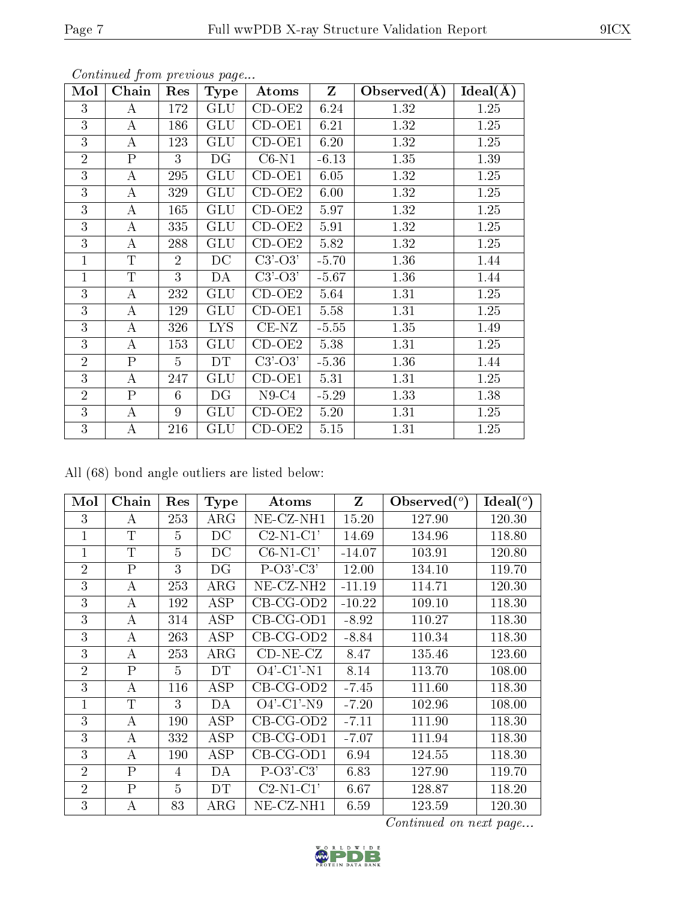| Mol            | Chain            | Res            | <b>Type</b>  | Atoms               | $\mathbf{Z}$ | Observed $(A)$ | Ideal(A) |
|----------------|------------------|----------------|--------------|---------------------|--------------|----------------|----------|
| 3              | А                | 172            | <b>GLU</b>   | $\overline{CD}-OE2$ | 6.24         | 1.32           | 1.25     |
| 3              | A                | 186            | <b>GLU</b>   | $CD-OE1$            | 6.21         | 1.32           | 1.25     |
| 3              | $\bf{A}$         | 123            | <b>GLU</b>   | $CD-OE1$            | 6.20         | 1.32           | 1.25     |
| $\overline{2}$ | $\mathbf{P}$     | 3              | DG           | $C6-N1$             | $-6.13$      | 1.35           | 1.39     |
| 3              | $\bf{A}$         | 295            | <b>GLU</b>   | $CD-OE1$            | 6.05         | 1.32           | 1.25     |
| 3              | А                | 329            | GLU          | $CD-OE2$            | 6.00         | 1.32           | 1.25     |
| 3              | А                | 165            | <b>GLU</b>   | $CD-OE2$            | 5.97         | 1.32           | 1.25     |
| 3              | А                | 335            | GLU          | $CD-OE2$            | 5.91         | 1.32           | 1.25     |
| 3              | A                | 288            | <b>GLU</b>   | $CD-OE2$            | 5.82         | 1.32           | 1.25     |
| $\mathbf{1}$   | T                | $\overline{2}$ | DC           | $C3'-O3'$           | $-5.70$      | 1.36           | 1.44     |
| $\overline{1}$ | $\overline{T}$   | 3              | DA           | $C3'-O3'$           | $-5.67$      | 1.36           | 1.44     |
| 3              | $\bf{A}$         | 232            | GLU          | $CD-OE2$            | 5.64         | 1.31           | 1.25     |
| 3              | А                | 129            | <b>GLU</b>   | $CD-OE1$            | 5.58         | 1.31           | 1.25     |
| 3              | A                | 326            | <b>LYS</b>   | $CE-NZ$             | $-5.55$      | 1.35           | 1.49     |
| 3              | А                | 153            | GLU          | $CD-OE2$            | 5.38         | 1.31           | 1.25     |
| $\overline{2}$ | $\mathbf{P}$     | $\overline{5}$ | DT           | $C3'-O3'$           | $-5.36$      | 1.36           | 1.44     |
| 3              | $\boldsymbol{A}$ | 247            | <b>GLU</b>   | $CD-OE1$            | 5.31         | 1.31           | 1.25     |
| $\overline{2}$ | $\mathbf{P}$     | 6              | DG           | $N9-C4$             | $-5.29$      | 1.33           | 1.38     |
| 3              | $\bf{A}$         | 9              | <b>GLU</b>   | $CD-OE2$            | 5.20         | 1.31           | 1.25     |
| 3              | Α                | 216            | $_{\rm GLU}$ | $CD-OE2$            | 5.15         | 1.31           | 1.25     |

All (68) bond angle outliers are listed below:

| Mol            | Chain          | Res | <b>Type</b> | Atoms                 | Z        | Observed $(^\circ)$ | Ideal (°) |
|----------------|----------------|-----|-------------|-----------------------|----------|---------------------|-----------|
| 3              | А              | 253 | $\rm{ARG}$  | $NE$ - $CZ$ - $NH1$   | 15.20    | 127.90              | 120.30    |
| 1              | $\mathbf T$    | 5   | DC          | $C2-N1-C1'$           | 14.69    | 134.96              | 118.80    |
| $\overline{1}$ | $\mathbf T$    | 5   | DC          | $C6-N1-C1'$           | $-14.07$ | 103.91              | 120.80    |
| $\overline{2}$ | P              | 3   | DG          | $P-O3'-C3'$           | 12.00    | 134.10              | 119.70    |
| 3              | А              | 253 | $\rm{ARG}$  | NE-CZ-NH <sub>2</sub> | $-11.19$ | 114.71              | 120.30    |
| 3              | А              | 192 | ASP         | $CB-CG-OD2$           | $-10.22$ | 109.10              | 118.30    |
| 3              | А              | 314 | ASP         | $CB-CG-OD1$           | $-8.92$  | 110.27              | 118.30    |
| 3              | А              | 263 | ASP         | $CB-CG-OD2$           | $-8.84$  | 110.34              | 118.30    |
| 3              | А              | 253 | $\rm{ARG}$  | $CD-NE- CZ$           | 8.47     | 135.46              | 123.60    |
| $\overline{2}$ | $\overline{P}$ | 5   | DT          | $O4'$ -C1'-N1         | 8.14     | 113.70              | 108.00    |
| 3              | А              | 116 | ASP         | $CB-CG-OD2$           | $-7.45$  | 111.60              | 118.30    |
| 1              | T              | 3   | DA          | $O4'$ -C1'-N9         | $-7.20$  | 102.96              | 108.00    |
| 3              | A              | 190 | ASP         | $CB-CG-OD2$           | $-7.11$  | 111.90              | 118.30    |
| 3              | А              | 332 | ASP         | $CB-CG-OD1$           | $-7.07$  | 111.94              | 118.30    |
| 3              | А              | 190 | ASP         | $CB-CG-OD1$           | 6.94     | 124.55              | 118.30    |
| $\overline{2}$ | $\mathsf{P}$   | 4   | DA          | $P-O3'-C3'$           | 6.83     | 127.90              | 119.70    |
| $\overline{2}$ | $\overline{P}$ | 5   | DT          | $C2-N1-C1'$           | 6.67     | 128.87              | 118.20    |
| 3              | А              | 83  | $\rm{ARG}$  | NE-CZ-NH1             | 6.59     | 123.59              | 120.30    |

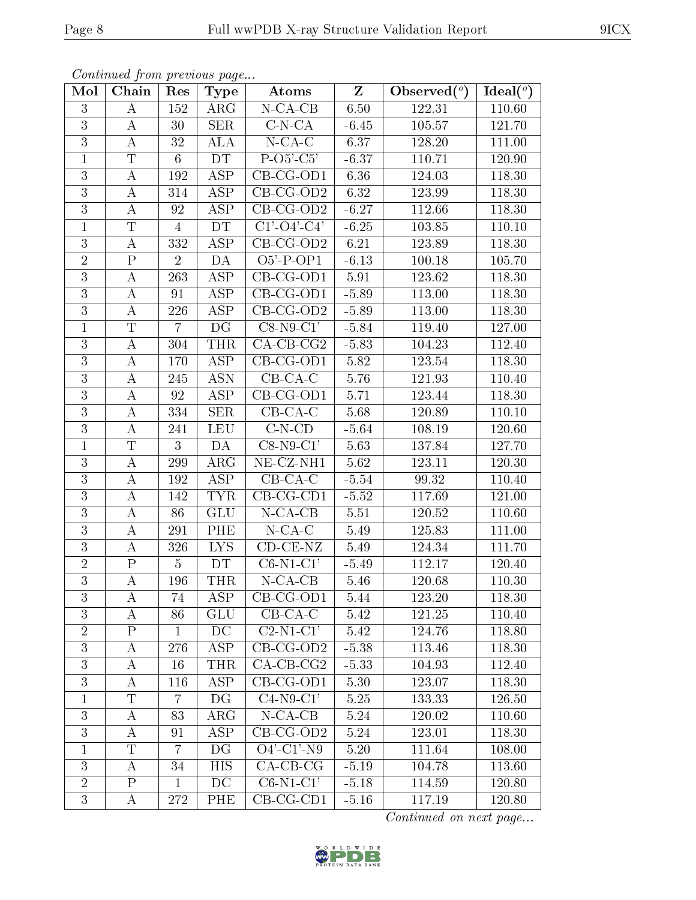| Mol            | Chain            | Res            | <b>Type</b>             | Atoms                         | $\mathbf{Z}$ | Observed $(°)$ | Ideal $(°)$ |
|----------------|------------------|----------------|-------------------------|-------------------------------|--------------|----------------|-------------|
| $\overline{3}$ | $\bf{A}$         | 152            | $\rm{ARG}$              | $N$ -CA-CB                    | 6.50         | 122.31         | 110.60      |
| $\overline{3}$ | $\bf{A}$         | 30             | <b>SER</b>              | $C-N-CA$                      | $-6.45$      | 105.57         | 121.70      |
| $\overline{3}$ | $\boldsymbol{A}$ | 32             | <b>ALA</b>              | $N$ -CA-C                     | 6.37         | 128.20         | 111.00      |
| $\mathbf{1}$   | T                | $6\phantom{.}$ | DT                      | $P-O5-C5'$                    | $-6.37$      | 110.71         | 120.90      |
| $\overline{3}$ | $\bf{A}$         | 192            | $\overline{\text{ASP}}$ | $CB-CG-OD1$                   | 6.36         | 124.03         | 118.30      |
| $\overline{3}$ | $\bf{A}$         | 314            | ASP                     | $CB-CG-OD2$                   | 6.32         | 123.99         | 118.30      |
| $\overline{3}$ | А                | 92             | <b>ASP</b>              | $CB-CG-OD2$                   | $-6.27$      | 112.66         | 118.30      |
| $\mathbf{1}$   | T                | $\overline{4}$ | DT                      | $C1'$ -O4'-C4'                | $-6.25$      | 103.85         | 110.10      |
| $\overline{3}$ | $\bf{A}$         | 332            | <b>ASP</b>              | CB-CG-OD2                     | 6.21         | 123.89         | 118.30      |
| $\overline{2}$ | $\overline{P}$   | $\overline{2}$ | DA                      | $O5'$ -P-OP1                  | $-6.13$      | 100.18         | 105.70      |
| 3              | $\boldsymbol{A}$ | 263            | <b>ASP</b>              | $CB-CG-OD1$                   | $5.91\,$     | 123.62         | 118.30      |
| $\overline{3}$ | $\bf{A}$         | 91             | $\overline{\text{ASP}}$ | $CB$ -CG-OD1                  | $-5.89$      | 113.00         | 118.30      |
| $\overline{3}$ | $\bf{A}$         | 226            | ASP                     | $CB-CG-OD2$                   | $-5.89$      | 113.00         | 118.30      |
| $\mathbf{1}$   | $\overline{T}$   | $\overline{7}$ | DG                      | $\overline{\text{C8-N9-C1}}$  | $-5.84$      | 119.40         | 127.00      |
| $\overline{3}$ | $\bf{A}$         | 304            | <b>THR</b>              | $\overline{\text{CA-CB-CG2}}$ | $-5.83$      | 104.23         | 112.40      |
| 3              | $\boldsymbol{A}$ | 170            | <b>ASP</b>              | $CB-CG-OD1$                   | 5.82         | 123.54         | 118.30      |
| $\overline{3}$ | $\boldsymbol{A}$ | 245            | <b>ASN</b>              | $CB-CA-C$                     | 5.76         | 121.93         | 110.40      |
| $\overline{3}$ | $\bf{A}$         | 92             | <b>ASP</b>              | $CB-CG-OD1$                   | 5.71         | 123.44         | 118.30      |
| $\overline{3}$ | $\boldsymbol{A}$ | 334            | <b>SER</b>              | $CB-CA-C$                     | 5.68         | 120.89         | 110.10      |
| $\overline{3}$ | А                | 241            | <b>LEU</b>              | $C-N-CD$                      | $-5.64$      | 108.19         | 120.60      |
| $\mathbf{1}$   | T                | 3              | DA                      | $C8-N9-C1'$                   | 5.63         | 137.84         | 127.70      |
| $\overline{3}$ | А                | 299            | $\rm{ARG}$              | $NE- CZ-NH1$                  | 5.62         | 123.11         | 120.30      |
| $\overline{3}$ | $\bf{A}$         | 192            | <b>ASP</b>              | $CB-CA-C$                     | $-5.54$      | 99.32          | 110.40      |
| $\overline{3}$ | А                | 142            | <b>TYR</b>              | $CB-CG-CD1$                   | $-5.52$      | 117.69         | 121.00      |
| $\overline{3}$ | $\bf{A}$         | 86             | <b>GLU</b>              | $N$ -CA-CB                    | 5.51         | 120.52         | 110.60      |
| $\overline{3}$ | $\bf{A}$         | 291            | PHE                     | $N$ -CA-C                     | 5.49         | 125.83         | 111.00      |
| $\overline{3}$ | А                | 326            | LYS.                    | $CD$ - $CE$ - $NZ$            | 5.49         | 124.34         | 111.70      |
| $\overline{2}$ | $\mathbf P$      | $\overline{5}$ | <b>DT</b>               | $C6-N1-C1'$                   | $-5.49$      | 112.17         | 120.40      |
| $\overline{3}$ | $\boldsymbol{A}$ | 196            | THR                     | $N$ -CA-CB                    | 5.46         | 120.68         | 110.30      |
| 3              | A                | 74             | ASP                     | $CB-CG-OD1$                   | 5.44         | 123.20         | 118.30      |
| 3              | A                | 86             | <b>GLU</b>              | $CB-CA-C$                     | 5.42         | $121.25\,$     | 110.40      |
| $\overline{2}$ | $\mathbf{P}$     | $\mathbf{1}$   | DC                      | $C2-N1-C1'$                   | 5.42         | 124.76         | 118.80      |
| $\overline{3}$ | A                | 276            | ASP                     | $\overline{CB}$ -CG-OD2       | $-5.38$      | 113.46         | 118.30      |
| $\overline{3}$ | $\boldsymbol{A}$ | 16             | <b>THR</b>              | $CA$ -CB-CG2                  | $-5.33$      | 104.93         | 112.40      |
| $\overline{3}$ | $\boldsymbol{A}$ | 116            | ASP                     | $CB-CG-OD1$                   | 5.30         | 123.07         | 118.30      |
| $\mathbf 1$    | T                | 7              | DG                      | $C4-N9-C1'$                   | 5.25         | 133.33         | 126.50      |
| 3              | А                | 83             | $\rm{ARG}$              | $N$ -CA-CB                    | 5.24         | 120.02         | 110.60      |
| $\overline{3}$ | $\bf{A}$         | 91             | <b>ASP</b>              | $CB-CG-OD2$                   | 5.24         | 123.01         | 118.30      |
| $\mathbf{1}$   | $\overline{T}$   | $\overline{7}$ | DG                      | $O4'$ -C1'-N9                 | $5.20\,$     | 111.64         | 108.00      |
| $\overline{3}$ | A                | 34             | HIS                     | $CA-CB-CG$                    | $-5.19$      | 104.78         | 113.60      |
| $\overline{2}$ | $\mathbf{P}$     | $\mathbf{1}$   | DC                      | $C6-N1-C1'$                   | $-5.18$      | 114.59         | 120.80      |
| 3              | A                | 272            | PHE                     | $CB-CG-CD1$                   | $-5.16$      | 117.19         | 120.80      |

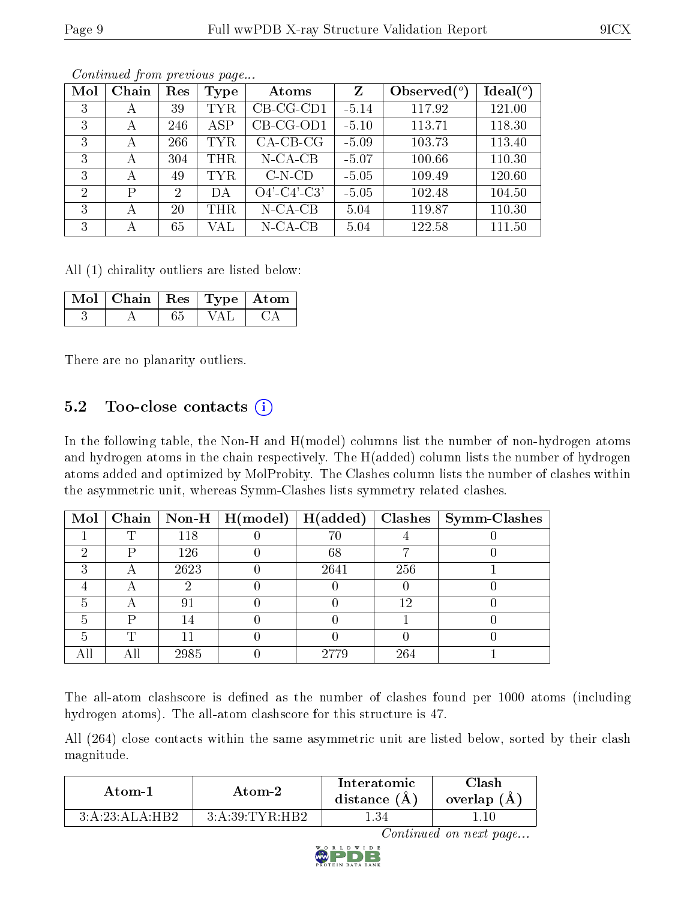| Mol | Chain | Res            | Type       | Atoms          | Z       | Observed $(°)$ | Ideal $(^\circ)$ |
|-----|-------|----------------|------------|----------------|---------|----------------|------------------|
| 3   | А     | 39             | TYR        | $CB-CG-CD1$    | $-5.14$ | 117.92         | 121.00           |
| 3   | А     | 246            | <b>ASP</b> | CB-CG-OD1      | $-5.10$ | 113.71         | 118.30           |
| 3   | А     | 266            | <b>TYR</b> | $CA-CB-CG$     | $-5.09$ | 103.73         | 113.40           |
| 3   | А     | 304            | THR        | $N$ -CA-CB     | $-5.07$ | 100.66         | 110.30           |
| 3   | А     | 49             | TYR        | $C-N-CD$       | $-5.05$ | 109.49         | 120.60           |
| 2   | P     | $\overline{2}$ | DА         | $O4'$ -C4'-C3' | $-5.05$ | 102.48         | 104.50           |
| 3   | А     | 20             | THR.       | $N$ -CA-CB     | 5.04    | 119.87         | 110.30           |
| 3   | А     | 65             | VAL        | $N$ -CA-CB     | 5.04    | 122.58         | 111.50           |

All (1) chirality outliers are listed below:

| $\overline{\text{Mol}}$ Chain   Res   Type   Atom |  |  |
|---------------------------------------------------|--|--|
|                                                   |  |  |

There are no planarity outliers.

#### 5.2 Too-close contacts  $(i)$

In the following table, the Non-H and H(model) columns list the number of non-hydrogen atoms and hydrogen atoms in the chain respectively. The H(added) column lists the number of hydrogen atoms added and optimized by MolProbity. The Clashes column lists the number of clashes within the asymmetric unit, whereas Symm-Clashes lists symmetry related clashes.

| Mol |   |      | $\boxed{\text{Chain}}$   Non-H   H(model) | H(added) |     | $\textbf{Class} \mid \textbf{Symm-Class}$ |
|-----|---|------|-------------------------------------------|----------|-----|-------------------------------------------|
|     | ௱ | 118  |                                           | $70\,$   |     |                                           |
|     | D | 126  |                                           | 68       |     |                                           |
|     |   | 2623 |                                           | 2641     | 256 |                                           |
|     |   |      |                                           |          |     |                                           |
|     |   | ġ.   |                                           |          | 19  |                                           |
|     |   |      |                                           |          |     |                                           |
|     |   |      |                                           |          |     |                                           |
|     |   | 2985 |                                           | 2779     | 264 |                                           |

The all-atom clashscore is defined as the number of clashes found per 1000 atoms (including hydrogen atoms). The all-atom clashscore for this structure is 47.

All (264) close contacts within the same asymmetric unit are listed below, sorted by their clash magnitude.

| Atom-1         | Atom-2         | Interatomic<br>distance $(A)$ | <b>Clash</b><br>overlap (A |
|----------------|----------------|-------------------------------|----------------------------|
| 3:A:23:ALA:HB2 | 3:A:39:TYR:HB2 | l 34                          |                            |

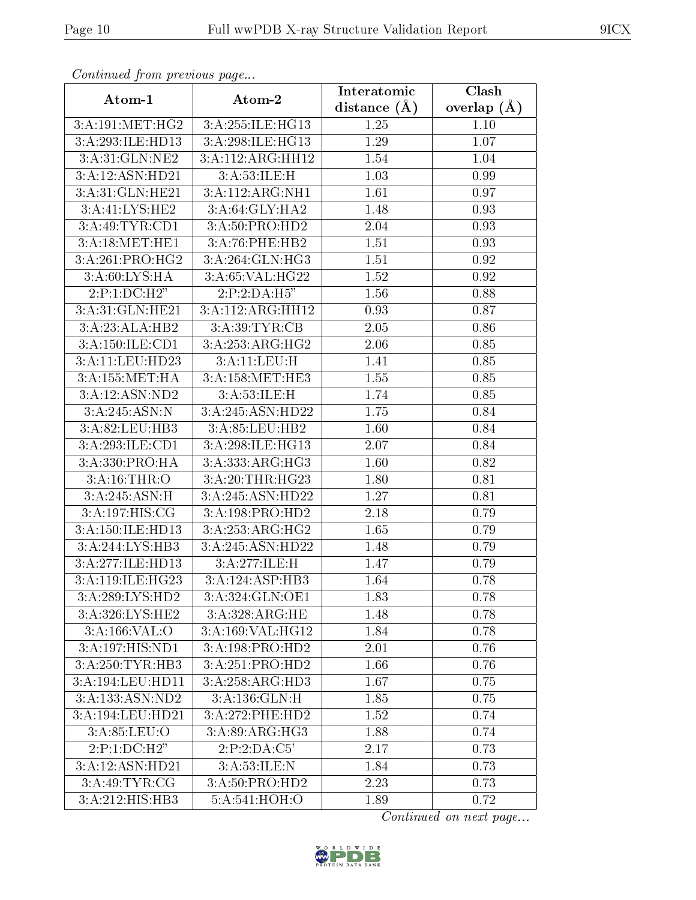| connuncu jioin previous page |                               | Interatomic      | Clash         |
|------------------------------|-------------------------------|------------------|---------------|
| Atom-1                       | Atom-2                        | distance $(\AA)$ | overlap $(A)$ |
| 3:A:191:MET:HG2              | 3:A:255:ILE:HG13              | 1.25             | 1.10          |
| 3:A:293:ILE:HD13             | 3:A:298:ILE:HG13              | 1.29             | 1.07          |
| 3:A:31:GLN:NE2               | $3:A:112:ARG:H\overline{H12}$ | 1.54             | 1.04          |
| 3:A:12:ASN:HD21              | 3:A:53:ILE:H                  | 1.03             | 0.99          |
| 3:A:31:GLN:HE21              | 3:A:112:ARG:NH1               | 1.61             | 0.97          |
| 3:A:41:LYS:HE2               | 3:A:64:GLY:HA2                | 1.48             | 0.93          |
| 3:A:49:TYR:CD1               | 3:A:50:PRO:HD2                | 2.04             | 0.93          |
| 3:A:18:MET:HE1               | 3:A:76:PHE:HB2                | 1.51             | 0.93          |
| 3:A:261:PRO:HG2              | 3:A:264:GLN:HG3               | 1.51             | 0.92          |
| 3: A:60: LYS: HA             | 3:A:65:VAL:HG22               | 1.52             | 0.92          |
| 2:P:1:DC:H2"                 | 2:P:2:DA:H5"                  | 1.56             | 0.88          |
| 3:A:31:GLN:HE21              | 3:A:112:ARG:HH12              | 0.93             | 0.87          |
| 3:A:23:ALA:HB2               | 3:A:39:TYR:CB                 | 2.05             | 0.86          |
| 3:A:150:ILE:CD1              | 3:A:253:ARG:HG2               | 2.06             | 0.85          |
| 3:A:11:LEU:HD23              | 3:A:11:LEU:H                  | 1.41             | 0.85          |
| 3: A: 155: MET: HA           | 3:A:158:MET:HE3               | 1.55             | 0.85          |
| 3:A:12:ASN:ND2               | 3: A:53: ILE:H                | 1.74             | 0.85          |
| 3:A:245:ASN:N                | 3:A:245:ASN:HD22              | 1.75             | 0.84          |
| 3:A:82:LEU:HB3               | 3:A:85:LEU:HB2                | 1.60             | 0.84          |
| 3:A:293:ILE:CD1              | 3:A:298:ILE:HG13              | 2.07             | 0.84          |
| 3:A:330:PRO:HA               | 3:A:333:ARG:HG3               | 1.60             | 0.82          |
| 3:A:16:THR:O                 | 3:A:20:THR:HG23               | 1.80             | 0.81          |
| 3:A:245:ASN:H                | 3:A:245:ASN:HD22              | 1.27             | 0.81          |
| 3:A:197:HIS:CG               | 3:A:198:PRO:HD2               | 2.18             | 0.79          |
| 3:A:150:ILE:HD13             | 3:A:253:ARG:HG2               | 1.65             | 0.79          |
| 3:A:244:LYS:HB3              | 3:A:245:ASN:HD22              | 1.48             | 0.79          |
| 3:A:277:ILE:HD13             | 3:A:277:ILE:H                 | 1.47             | 0.79          |
| 3:A:119:ILE:HG23             | 3:A:124:ASP:HB3               | 1.64             | 0.78          |
| 3:A:289:LYS:HD2              | 3:A:324:GLN:OE1               | 1.83             | 0.78          |
| 3:A:326:LYS:HE2              | 3:A:328:ARG:HE                | 1.48             | 0.78          |
| 3:A:166:VAL:O                | 3:A:169:VAL:HG12              | 1.84             | 0.78          |
| 3:A:197:HIS:ND1              | 3:A:198:PRO:HD2               | 2.01             | 0.76          |
| 3:A:250:TYR:HB3              | 3:A:251:PRO:HD2               | 1.66             | 0.76          |
| 3:A:194:LEU:HD11             | 3:A:258:ARG:HD3               | 1.67             | 0.75          |
| 3:A:133:ASN:ND2              | 3:A:136:GLN:H                 | 1.85             | 0.75          |
| 3:A:194:LEU:HD21             | 3:A:272:PHE:HD2               | 1.52             | 0.74          |
| 3:A:85:LEU:O                 | 3:A:89:ARG:HG3                | 1.88             | 0.74          |
| $2:P:1:DC:\overline{H2"$     | 2:P:2:DA:C5'                  | 2.17             | 0.73          |
| 3:A:12:ASN:HD21              | 3:A:53:ILE:N                  | 1.84             | 0.73          |
| 3:A:49:TYR:CG                | 3:A:50:PRO:HD2                | 2.23             | 0.73          |
| 3:A:212:HIS:HB3              | 5:A:541:HOH:O                 | 1.89             | 0.72          |

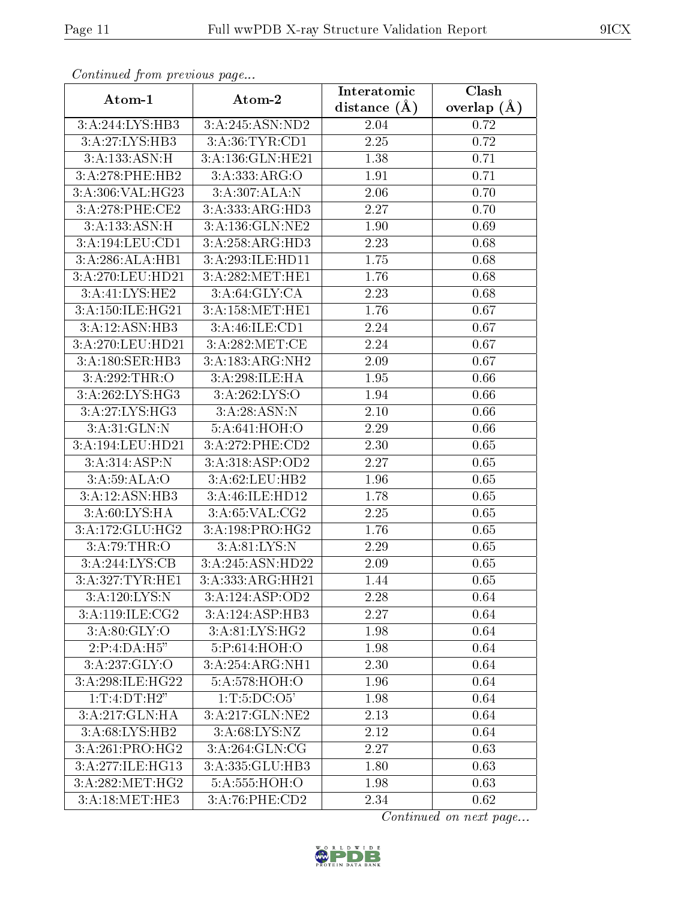| сонинией јтоні ртеvious раде |                                        | Interatomic       | Clash           |  |
|------------------------------|----------------------------------------|-------------------|-----------------|--|
| Atom-1                       | Atom-2                                 | distance $(A)$    | overlap $(\AA)$ |  |
| 3:A:244:LYS:HB3              | 3:A:245:ASN:ND2                        | 2.04              | 0.72            |  |
| 3:A:27:LYS:HB3               | 3:A:36:TYR:CD1                         | $\overline{2.25}$ | 0.72            |  |
| 3:A:133:ASN:H                | 3:A:136:GLN:HE21                       | 1.38              | 0.71            |  |
| 3:A:278:PHE:HB2              | 3:A:333:ARG:O                          | 1.91              | 0.71            |  |
| 3:A:306:VAL:HG23             | 3:A:307:ALA:N                          | 2.06              | 0.70            |  |
| 3:A:278:PHE:CE2              | 3:A:333:ARG:HD3                        | 2.27              | 0.70            |  |
| 3:A:133:ASN:H                | 3:A:136:GLN:NE2                        | 1.90              | 0.69            |  |
| 3:A:194:LEU:CD1              | 3:A:258:ARG:HD3                        | 2.23              | 0.68            |  |
| 3:A:286:ALA:HB1              | 3:A:293:ILE:HD11                       | 1.75              | 0.68            |  |
| 3:A:270:LEU:HD21             | 3:A:282:MET:HE1                        | 1.76              | 0.68            |  |
| 3:A:41:LYS:HE2               | 3:A:64:GLY:CA                          | 2.23              | 0.68            |  |
| 3:A:150:ILE:HG21             | 3:A:158:MET:HE1                        | 1.76              | 0.67            |  |
| 3:A:12:ASN:HB3               | 3:A:46:ILE:CD1                         | 2.24              | 0.67            |  |
| 3:A:270:LEU:HD21             | 3:A:282:MET:CE                         | 2.24              | 0.67            |  |
| 3:A:180:SER:HB3              | 3:A:183:ARG:NH2                        | 2.09              | 0.67            |  |
| 3:A:292:THR:O                | 3:A:298:ILE:HA                         | 1.95              | 0.66            |  |
| 3:A:262:LYS:HG3              | 3:A:262:LYS:O                          | 1.94              | 0.66            |  |
| 3:A:27:LYS:HG3               | 3:A:28:ASN:N                           | 2.10              | 0.66            |  |
| 3:A:31:GLN:N                 | 5:A:641:HOH:O                          | 2.29              | 0.66            |  |
| 3:A:194:LEU:HD21             | 3:A:272:PHE:CD2                        | 2.30              | 0.65            |  |
| 3:A:314:ASP:N                | 3: A:318: ASP:OD2                      | 2.27              | 0.65            |  |
| 3:A:59:ALA:O                 | 3:A:62:LEU:HB2                         | 1.96              | 0.65            |  |
| 3:A:12:ASN:HB3               | 3:A:46:ILE:HD12                        | 1.78              | 0.65            |  |
| 3:A:60:LYS:HA                | 3:A:65:VAL:CG2                         | 2.25              | 0.65            |  |
| 3:A:172:GLU:HG2              | 3:A:198:PRO:HG2                        | 1.76              | 0.65            |  |
| 3:A:79:THR:O                 | 3:A:81:LYS:N                           | 2.29              | 0.65            |  |
| 3:A:244:LYS:CB               | 3:A:245:ASN:HD22                       | 2.09              | 0.65            |  |
| 3:A:327:TYR:HE1              | 3:A:333:ARG:HH21                       | 1.44              | 0.65            |  |
| 3:A:120:LYS:N                | 3:A:124:ASP:OD2                        | 2.28              | 0.64            |  |
| 3:A:119:ILE:CG2              | 3:A:124:ASP:HB3                        | 2.27              | 0.64            |  |
| 3: A:80: GLY:O               | 3:A:81:LYS:HG2                         | 1.98              | 0.64            |  |
| 2:P:4:DA:H5"                 | 5:P:614:HOH:O                          | 1.98              | 0.64            |  |
| 3:A:237:GLY:O                | 3:A:254:ARG:NH1                        | 2.30              | 0.64            |  |
| 3:A:298:ILE:HG22             | 5:A:578:HOH:O                          | $1.96\,$          | 0.64            |  |
| 1:T:4:DT:H2"                 | 1:T:5:D <sub>C</sub> :O <sub>5</sub> ' | 1.98              | 0.64            |  |
| 3:A:217:GLN:HA               | 3:A:217:GLN:NE2                        | 2.13              | 0.64            |  |
| 3:A:68:LYS:HB2               | 3: A:68: LYS: NZ                       | 2.12              | 0.64            |  |
| 3:A:261:PRO:HG2              | 3:A:264:GLN:CG                         | 2.27              | 0.63            |  |
| 3:A:277:ILE:HG13             | 3:A:335:GLU:HB3                        | 1.80              | 0.63            |  |
| 3: A:282:MET:HG2             | 5:A:555:HOH:O                          | 1.98              | 0.63            |  |
| 3:A:18:MET:HE3               | 3:A:76:PHE:CD2                         | 2.34              | 0.62            |  |

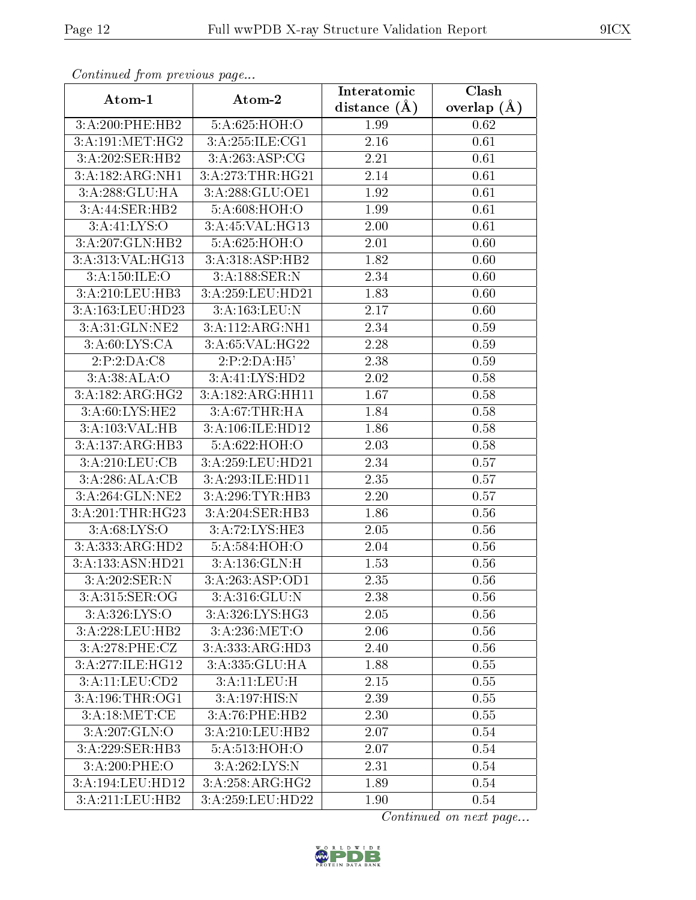| Continued from previous page |                             | Interatomic    | Clash         |
|------------------------------|-----------------------------|----------------|---------------|
| Atom-1                       | Atom-2                      | distance $(A)$ | overlap $(A)$ |
| 3:A:200:PHE:HB2              | 5:A:625:HOH:O               | 1.99           | 0.62          |
| 3:A:191:MET:HG2              | 3:A:255:ILE:CG1             | 2.16           | 0.61          |
| 3:A:202:SER:HB2              | 3:A:263:ASP:CG              | 2.21           | 0.61          |
| 3:A:182:ARG:NH1              | 3:A:273:THR:HG21            | 2.14           | 0.61          |
| 3:A:288:GLU:HA               | 3:A:288:GLU:OE1             | 1.92           | 0.61          |
| 3:A:44:SER:HB2               | 5:A:608:HOH:O               | 1.99           | 0.61          |
| 3: A: 41: LYS: O             | 3:A:45:VAL:H <sub>G13</sub> | $2.00\,$       | 0.61          |
| 3:A:207:GLN:HB2              | 5:A:625:HOH:O               | 2.01           | 0.60          |
| 3:A:313:VAL:HG13             | 3:A:318:ASP:HB2             | 1.82           | 0.60          |
| 3: A:150: ILE: O             | 3:A:188:SER:N               | 2.34           | 0.60          |
| 3:A:210:LEU:HB3              | 3:A:259:LEU:HD21            | 1.83           | 0.60          |
| 3:A:163:LEU:HD23             | 3:A:163:LEU:N               | 2.17           | 0.60          |
| 3:A:31:GLN:NE2               | 3:A:112:ARG:NH1             | 2.34           | 0.59          |
| 3:A:60:LYS:CA                | 3:A:65:VAL:HG22             | 2.28           | 0.59          |
| 2:P:2:DA:CS                  | 2:P:2:DA:H5'                | 2.38           | 0.59          |
| 3:A:38:ALA:O                 | 3:A:41:LYS:HD2              | 2.02           | 0.58          |
| 3:A:182:ARG:HG2              | 3:A:182:ARG:HH11            | 1.67           | 0.58          |
| 3:A:60:LYS:HE2               | 3:A:67:THR:HA               | 1.84           | 0.58          |
| 3:A:103:VAL:HB               | 3:A:106:ILE:HD12            | 1.86           | 0.58          |
| 3:A:137:ARG:HB3              | 5:A:622:HOH:O               | 2.03           | 0.58          |
| 3:A:210:LEU:CB               | 3:A:259:LEU:HD21            | 2.34           | 0.57          |
| 3:A:286:ALA:CB               | 3:A:293:ILE:HD11            | 2.35           | 0.57          |
| 3:A:264:GLN:NE2              | 3:A:296:TYR:HB3             | 2.20           | 0.57          |
| 3:A:201:THR:HG23             | 3:A:204:SER:HB3             | 1.86           | 0.56          |
| 3: A:68: LYS:O               | 3:A:72:LYS:HE3              | 2.05           | 0.56          |
| 3:A:333:ARG:HD2              | 5:A:584:HOH:O               | 2.04           | 0.56          |
| 3:A:133:ASN:HD21             | 3:A:136:GLN:H               | 1.53           | 0.56          |
| 3:A:202:SER:N                | 3:A:263:ASP:OD1             | 2.35           | 0.56          |
| 3: A:315: SER:OG             | 3:A:316:GLU:N               | 2.38           | 0.56          |
| 3: A: 326: LYS:O             | 3:A:326:LYS:HG3             | 2.05           | 0.56          |
| 3:A:228:LEU:HB2              | 3:A:236:MET:O               | 2.06           | 0.56          |
| 3: A:278: PHE: CZ            | 3:A:333:ARG:HD3             | 2.40           | 0.56          |
| 3:A:277:ILE:HG12             | 3:A:335:GLU:HA              | 1.88           | 0.55          |
| 3:A:11:LEU:CD2               | 3:A:11:LEU:H                | 2.15           | 0.55          |
| 3: A:196:THR:OG1             | 3:A:197:HIS:N               | 2.39           | 0.55          |
| 3:A:18:MET:CE                | 3:A:76:PHE:HB2              | 2.30           | 0.55          |
| 3:A:207:GLN:O                | 3:A:210:LEU:HB2             | 2.07           | 0.54          |
| 3:A:229:SER:HB3              | 5:A:513:HOH:O               | 2.07           | 0.54          |
| 3:A:200:PHE:O                | 3:A:262:LYS:N               | 2.31           | 0.54          |
| 3:A:194:LEU:HD12             | 3:A:258:ARG:HG2             | 1.89           | 0.54          |
| 3:A:211:LEU:HB2              | 3:A:259:LEU:HD22            | 1.90           | 0.54          |

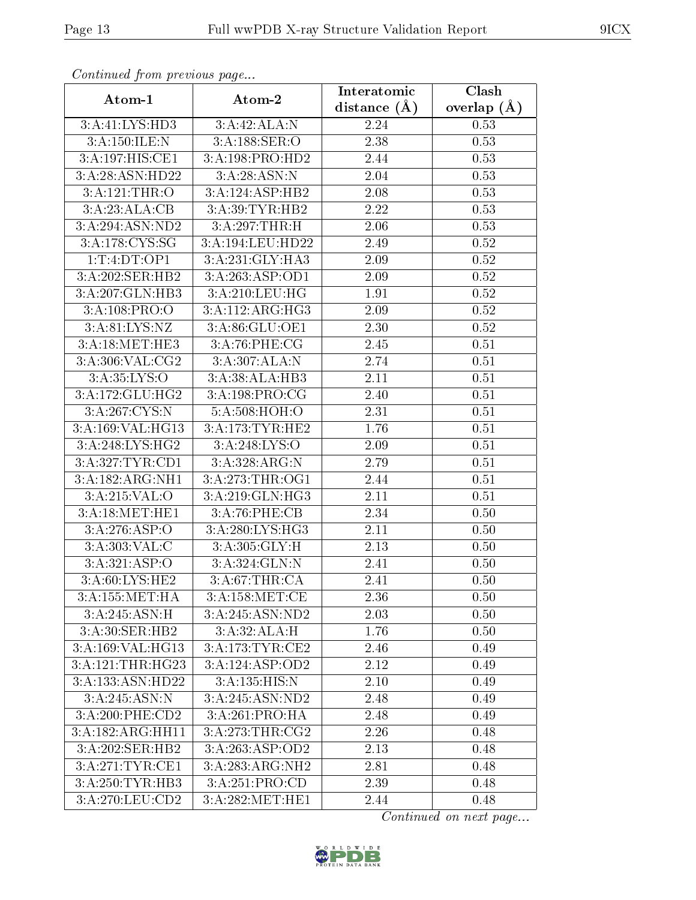| Continuea jiom previous page |                                    | Interatomic      | Clash         |
|------------------------------|------------------------------------|------------------|---------------|
| Atom-1                       | Atom-2                             | distance $(\AA)$ | overlap $(A)$ |
| 3:A:41:LYS:HD3               | 3:A:42:ALA:N                       | 2.24             | 0.53          |
| 3:A:150:ILE:N                | 3:A:188:SER:O                      | 2.38             | 0.53          |
| 3:A:197:HIS:CE1              | 3:A:198:PRO:HD2                    | 2.44             | 0.53          |
| 3:A:28:ASN:HD22              | 3: A:28: ASN:N                     | 2.04             | 0.53          |
| 3:A:121:THR:O                | 3:A:124:ASP:HB2                    | 2.08             | 0.53          |
| 3:A:23:ALA:CB                | 3:A:39:TYR:HB2                     | 2.22             | 0.53          |
| $3:A:294:AS\overline{N:ND2}$ | 3:A:297:THR:H                      | 2.06             | 0.53          |
| 3:A:178:CYS:SG               | 3:A:194:LEU:HD22                   | 2.49             | 0.52          |
| 1:T:4:DT:OP1                 | 3:A:231:GLY:HA3                    | 2.09             | 0.52          |
| 3:A:202:SER:HB2              | 3:A:263:ASP:OD1                    | 2.09             | 0.52          |
| 3:A:207:GLN:HB3              | 3:A:210:LEU:HG                     | 1.91             | $0.52\,$      |
| 3:A:108:PRO:O                | 3:A:112:ARG:HG3                    | 2.09             | 0.52          |
| 3:A:81:LYS:NZ                | 3:A:86:GLU:OE1                     | 2.30             | 0.52          |
| 3:A:18:MET:HE3               | 3:A:76:PHE:CG                      | 2.45             | 0.51          |
| 3:A:306:VAL:CG2              | 3:A:307:ALA:N                      | 2.74             | 0.51          |
| 3: A: 35: LYS: O             | $3:A:38:AL\overline{A:H}B3$        | 2.11             | 0.51          |
| 3:A:172:GLU:HG2              | 3:A:198:PRO:CG                     | 2.40             | 0.51          |
| 3:A:267:CYS:N                | 5:A:508:HOH:O                      | 2.31             | 0.51          |
| 3:A:169:VAL:HG13             | 3:A:173:TYR:HE2                    | 1.76             | 0.51          |
| $3:A:248:LYS:H\overline{G2}$ | 3: A:248: LYS:O                    | 2.09             | 0.51          |
| 3:A:327:TYR:CD1              | 3:A:328:ARG:N                      | 2.79             | 0.51          |
| 3:A:182:ARG:NH1              | 3:A:273:THR:OG1                    | 2.44             | 0.51          |
| 3:A:215:VAL:O                | 3:A:219:GLN:HG3                    | 2.11             | 0.51          |
| 3:A:18:MET:HE1               | 3:A:76:PHE:CB                      | 2.34             | 0.50          |
| 3:A:276:ASP:O                | 3:A:280:LYS:HG3                    | 2.11             | 0.50          |
| 3:A:303:VAL:C                | 3:A:305:GLY:H                      | 2.13             | 0.50          |
| 3:A:321:ASP:O                | 3:A:324:GLN:N                      | 2.41             | 0.50          |
| 3:A:60:LYS:HE2               | 3:A:67:THR:CA                      | 2.41             | 0.50          |
| 3: A: 155: MET: HA           | $3:A:158:MET:\overline{\text{CE}}$ | 2.36             | 0.50          |
| $3:A:245:A\overline{SN:H}$   | 3:A:245:ASN:ND2                    | 2.03             | 0.50          |
| 3:A:30:SER:HB2               | 3:A:32:ALA:H                       | 1.76             | 0.50          |
| 3:A:169:VAL:HG13             | 3:A:173:TYR:CE2                    | 2.46             | 0.49          |
| 3:A:121:THR:HG23             | 3:A:124:ASP:OD2                    | 2.12             | 0.49          |
| 3:A:133:ASN:HD22             | 3:A:135:HIS:N                      | 2.10             | 0.49          |
| 3:A:245:ASN:N                | 3:A:245:ASN:ND2                    | 2.48             | 0.49          |
| 3:A:200:PHE:CD2              | 3:A:261:PRO:HA                     | 2.48             | 0.49          |
| 3:A:182:ARG:HH11             | 3:A:273:THR:CG2                    | 2.26             | 0.48          |
| 3:A:202:SER:HB2              | 3:A:263:ASP:OD2                    | 2.13             | 0.48          |
| 3:A:271:TYR:CE1              | 3:A:283:ARG:NH2                    | 2.81             | 0.48          |
| 3:A:250:TYR:HB3              | 3:A:251:PRO:CD                     | 2.39             | 0.48          |
| 3:A:270:LEU:CD2              | 3: A:282:MET:HE1                   | 2.44             | 0.48          |

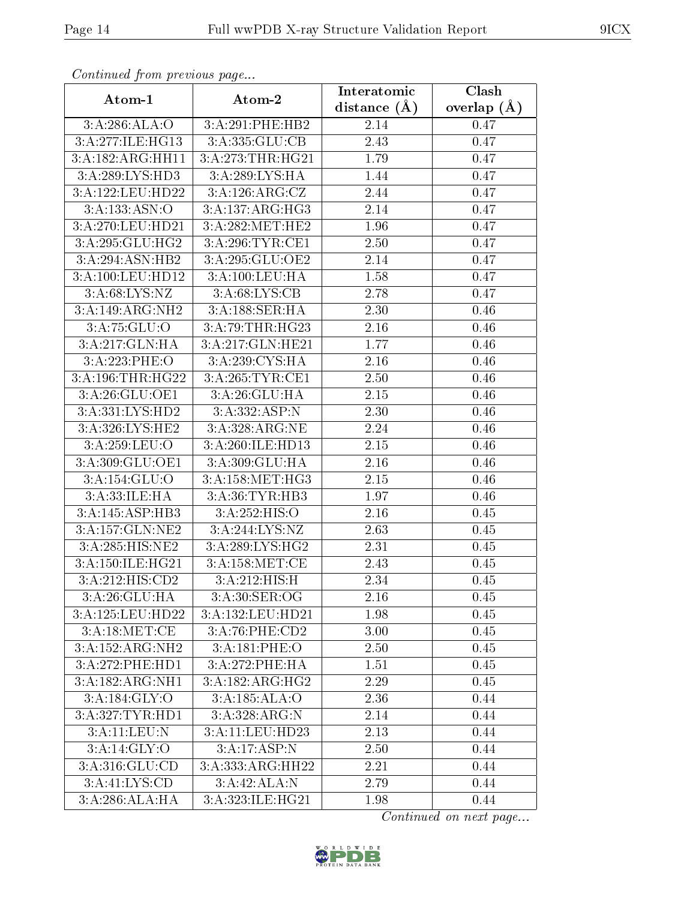| Continuea jioin pievivus page |                            | Clash<br>Interatomic |               |  |  |
|-------------------------------|----------------------------|----------------------|---------------|--|--|
| Atom-1                        | Atom-2                     | distance $(A)$       | overlap $(A)$ |  |  |
| 3:A:286:ALA:O                 | 3:A:291:PHE:HB2            | 2.14                 | 0.47          |  |  |
| 3:A:277:ILE:HG13              | 3:A:335:GLU:CB             | 2.43                 | 0.47          |  |  |
| 3:A:182:ARG:HH11              | 3:A:273:THR:HG21           | 1.79                 | 0.47          |  |  |
| 3:A:289:LYS:HD3               | 3:A:289:LYS:HA             | 1.44                 | 0.47          |  |  |
| 3:A:122:LEU:HD22              | 3:A:126:ARG:CZ             | 2.44                 | 0.47          |  |  |
| 3:A:133:ASN:O                 | 3:A:137:ARG:HG3            | 2.14                 | 0.47          |  |  |
| 3:A:270:LEU:HD21              | 3:A:282:MET:HE2            | 1.96                 | 0.47          |  |  |
| 3:A:295:GLU:HG2               | 3:A:296:TYR:CE1            | 2.50                 | 0.47          |  |  |
| 3:A:294:ASN:HB2               | 3:A:295:GLU:OE2            | 2.14                 | 0.47          |  |  |
| 3:A:100:LEU:HD12              | 3:A:100:LEU:HA             | 1.58                 | 0.47          |  |  |
| 3: A:68: LYS:NZ               | 3:A:68:LYS:CB              | 2.78                 | 0.47          |  |  |
| 3:A:149:ARG:NH2               | 3:A:188:SER:HA             | 2.30                 | 0.46          |  |  |
| 3:A:75:GLU:O                  | 3:A:79:THR:HG23            | 2.16                 | 0.46          |  |  |
| 3:A:217:GLN:HA                | 3:A:217:GLN:HE21           | 1.77                 | 0.46          |  |  |
| 3:A:223:PHE:O                 | 3:A:239:CYS:HA             | 2.16                 | 0.46          |  |  |
| 3:A:196:THR:HG22              | 3:A:265:TYR:CE1            | 2.50                 | 0.46          |  |  |
| 3: A:26: GLU:OE1              | 3:A:26:GLU:HA              | 2.15                 | 0.46          |  |  |
| 3:A:331:LYS:HD2               | 3:A:332:ASP:N              | 2.30                 | 0.46          |  |  |
| 3:A:326:LYS:HE2               | 3:A:328:ARG:NE             | 2.24                 | 0.46          |  |  |
| 3:A:259:LEU:O                 | 3:A:260:ILE:HD13           | 2.15                 | 0.46          |  |  |
| 3:A:309:GLU:OE1               | 3:A:309:GLU:HA             | 2.16                 | 0.46          |  |  |
| 3:A:154:GLU:O                 | 3:A:158:MET:HG3            | 2.15                 | 0.46          |  |  |
| 3:A:33:ILE:HA                 | 3:A:36:TYR:HB3             | 1.97                 | 0.46          |  |  |
| 3:A:145:ASP:HB3               | 3:A:252:HIS:O              | 2.16                 | 0.45          |  |  |
| 3:A:157:GLN:NE2               | 3:A:244:LYS:NZ             | 2.63                 | 0.45          |  |  |
| 3:A:285:HIS:NE2               | 3:A:289:LYS:HG2            | 2.31                 | 0.45          |  |  |
| 3:A:150:ILE:HG21              | 3: A:158:MET:CE            | 2.43                 | 0.45          |  |  |
| 3:A:212:HIS:CD2               | $3:A:212:HIS:\overline{H}$ | 2.34                 | 0.45          |  |  |
| 3:A:26:GLU:HA                 | 3:A:30:SER:OG              | 2.16                 | 0.45          |  |  |
| 3:A:125:LEU:HD22              | 3:A:132:LEU:HD21           | 1.98                 | 0.45          |  |  |
| 3:A:18:MET:CE                 | 3:A:76:PHE:CD2             | 3.00                 | 0.45          |  |  |
| 3:A:152:ARG:NH2               | 3:A:181:PHE:O              | 2.50                 | 0.45          |  |  |
| 3:A:272:PHE:HD1               | 3:A:272:PHE:HA             | 1.51                 | 0.45          |  |  |
| 3:A:182:ARG:NH1               | 3:A:182:ARG:HG2            | 2.29                 | 0.45          |  |  |
| 3:A:184:GLY:O                 | 3:A:185:ALA:O              | 2.36                 | 0.44          |  |  |
| 3:A:327:TYR:HD1               | 3:A:328:ARG:N              | 2.14                 | 0.44          |  |  |
| 3:A:11:LEU:N                  | 3:A:11:LEU:HD23            | 2.13                 | 0.44          |  |  |
| 3:A:14:GLY:O                  | 3:A:17:ASP:N               | 2.50                 | 0.44          |  |  |
| 3:A:316:GLU:CD                | 3:A:333:ARG:HH22           | 2.21                 | 0.44          |  |  |
| 3:A:41:LYS:CD                 | 3:A:42:ALA:N               | 2.79                 | 0.44          |  |  |
| $3:A:286:ALA:\overline{HA}$   | 3:A:323:ILE:HG21           | 1.98                 | 0.44          |  |  |

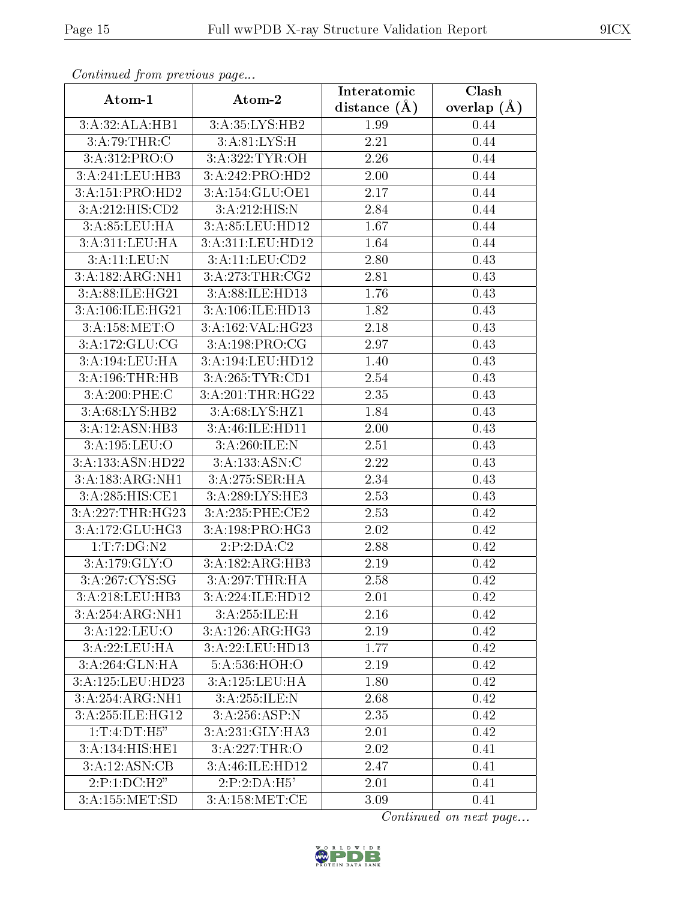| Continuati prom provious pago        |                    | Interatomic    | Clash         |
|--------------------------------------|--------------------|----------------|---------------|
| Atom-1                               | Atom-2             | distance $(A)$ | overlap $(A)$ |
| 3:A:32:ALA:HB1                       | 3:A:35:LYS:HB2     | 1.99           | 0.44          |
| 3:A:79:THR:C                         | 3:A:81:LYS:H       | 2.21           | 0.44          |
| 3: A:312: PRO:O                      | 3:A:322:TYR:OH     | 2.26           | 0.44          |
| 3:A:241:LEU:HB3                      | 3:A:242:PRO:HD2    | 2.00           | 0.44          |
| 3:A:151:PRO:HD2                      | $3:$ A:154:GLU:OE1 | 2.17           | 0.44          |
| 3:A:212:HIS:CD2                      | 3:A:212:HIS:N      | 2.84           | 0.44          |
| 3:A:85:LEU:HA                        | 3:A:85:LEU:HD12    | 1.67           | 0.44          |
| 3:A:311:LEU:HA                       | 3:A:311:LEU:HD12   | 1.64           | 0.44          |
| 3:A:11:LEU:N                         | 3:A:11:LEU:CD2     | 2.80           | 0.43          |
| 3:A:182:ARG:NH1                      | 3:A:273:THR:CG2    | 2.81           | 0.43          |
| 3:A:88:ILE:HG21                      | 3:A:88:ILE:HD13    | 1.76           | 0.43          |
| 3:A:106:ILE:HG21                     | 3:A:106:ILE:HD13   | 1.82           | 0.43          |
| 3:A:158:MET:O                        | 3:A:162:VAL:HG23   | 2.18           | 0.43          |
| 3:A:172:GLU:CG                       | 3:A:198:PRO:CG     | 2.97           | 0.43          |
| 3:A:194:LEU:HA                       | 3:A:194:LEU:HD12   | 1.40           | 0.43          |
| 3:A:196:THR:HB                       | 3:A:265:TYR:CD1    | 2.54           | 0.43          |
| 3:A:200:PHE:C                        | 3:A:201:THR:HG22   | 2.35           | 0.43          |
| 3:A:68:LYS:HB2                       | 3:A:68:LYS:HZ1     | 1.84           | 0.43          |
| 3:A:12:ASN:HB3                       | 3:A:46:ILE:HD11    | 2.00           | 0.43          |
| 3:A:195:LEU:O                        | 3:A:260:ILE:N      | 2.51           | 0.43          |
| 3:A:133:ASN:HD22                     | 3:A:133:ASN:C      | 2.22           | 0.43          |
| 3:A:183:ARG:NH1                      | 3:A:275:SER:HA     | 2.34           | 0.43          |
| 3:A:285:HIS:CE1                      | 3:A:289:LYS:HE3    | 2.53           | 0.43          |
| 3:A:227:THR:HG23                     | 3:A:235:PHE:CE2    | 2.53           | 0.42          |
| 3:A:172:GLU:HG3                      | 3:A:198:PRO:HG3    | 2.02           | 0.42          |
| 1: T: 7: DG: N2                      | 2:P:2:DA:C2        | 2.88           | 0.42          |
| 3:A:179:GLY:O                        | 3:A:182:ARG:HB3    | 2.19           | 0.42          |
| 3: A:267:CYS:SG                      | 3:A:297:THR:HA     | 2.58           | 0.42          |
| 3:A:218:LEU:HB3                      | 3:A:224:ILE:HD12   | $2.01\,$       | 0.42          |
| 3:A:254:ARG:NH1                      | 3:A:255:ILE:H      | 2.16           | 0.42          |
| 3:A:122:LEU:O                        | 3:A:126:ARG:HG3    | 2.19           | 0.42          |
| 3:A:22:LEU:HA                        | 3:A:22:LEU:HD13    | 1.77           | 0.42          |
| 3:A:264:GLN:HA                       | 5:A:536:HOH:O      | 2.19           | 0.42          |
| 3:A:125:LEU:HD23                     | 3:A:125:LEU:HA     | 1.80           | 0.42          |
| 3:A:254:ARG:NH1                      | 3:A:255:ILE:N      | 2.68           | 0.42          |
| 3:A:255:ILE:HG12                     | 3:A:256:ASP:N      | 2.35           | 0.42          |
| 1:T:4:DT:H5"                         | 3:A:231:GLY:HA3    | 2.01           | 0.42          |
| 3:A:134:HIS:HE1                      | 3:A:227:THR:O      | 2.02           | 0.41          |
| 3:A:12:ASN:CB                        | 3:A:46:ILE:HD12    | 2.47           | 0.41          |
| 2:P:1:DC:H2"                         | 2:P:2:DA:H5'       | 2.01           | 0.41          |
| $3:A:155:\overline{\mathrm{MET:SD}}$ | 3:A:158:MET:CE     | 3.09           | 0.41          |

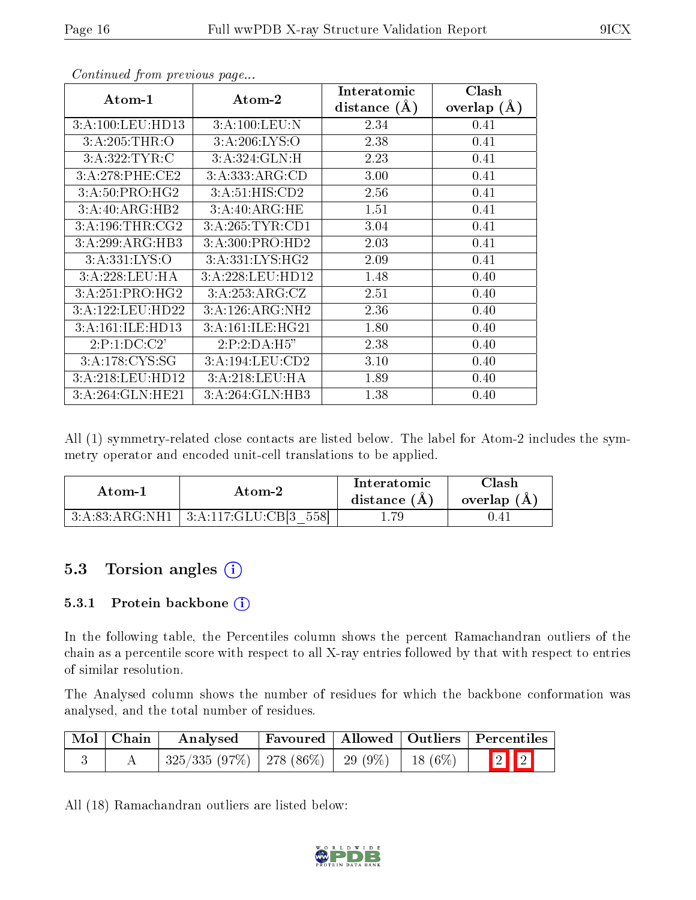| Atom-1                      | Atom-2           | Interatomic    | Clash         |
|-----------------------------|------------------|----------------|---------------|
|                             |                  | distance $(A)$ | overlap $(A)$ |
| 3:A:100:LEU:HD13            | 3:A:100:LEU:N    | 2.34           | 0.41          |
| 3:A:205:THR:O               | 3: A:206: LYS:O  | 2.38           | 0.41          |
| 3:A:322:TYR:C               | 3:A:324:GLN:H    | 2.23           | 0.41          |
| 3:A:278:PHE:CE2             | 3:A:333:ARG:CD   | 3.00           | 0.41          |
| $3:A:50:PRO:H\overline{G2}$ | 3:A:51:HIS:CD2   | 2.56           | 0.41          |
| 3:A:40:ARG:HB2              | 3:A:40:ARG:HE    | 1.51           | 0.41          |
| 3:A:196:THR:CG2             | 3:A:265:TYR:CD1  | 3.04           | 0.41          |
| 3:A:299:ARG:HB3             | 3:A:300:PRO:HD2  | 2.03           | 0.41          |
| 3:A:331:LYS:O               | 3:A:331:LYS:HG2  | 2.09           | 0.41          |
| 3:A:228:LEU:HA              | 3:A:228:LEU:HD12 | 1.48           | 0.40          |
| 3:A:251:PRO:HG2             | 3:A:253:ARG:CZ   | 2.51           | 0.40          |
| 3:A:122:LEU:HD22            | 3:A:126:ARG:NH2  | 2.36           | 0.40          |
| 3:A:161:ILE:HD13            | 3:A:161:ILE:HG21 | 1.80           | 0.40          |
| 2:P:1:DC:C2'                | 2:P:2:DA:H5"     | 2.38           | 0.40          |
| 3:A:178:CYS:SG              | 3:A:194:LEU:CD2  | 3.10           | 0.40          |
| 3:A:218:LEU:HD12            | 3:A:218:LEU:HA   | 1.89           | 0.40          |
| $3:$ A:264:GLN:HE21         | 3:A:264:GLN:HB3  | 1.38           | 0.40          |

All (1) symmetry-related close contacts are listed below. The label for Atom-2 includes the symmetry operator and encoded unit-cell translations to be applied.

| Atom-1 | Atom-2                                      | Interatomic<br>distance $(A)$ | Clash<br>overlap $(A)$ |
|--------|---------------------------------------------|-------------------------------|------------------------|
|        | 3:A:83:ARG:NH1   3:A:117:GLU:CB[3]<br>-5581 |                               | 0.41                   |

#### 5.3 Torsion angles (i)

#### 5.3.1 Protein backbone (i)

In the following table, the Percentiles column shows the percent Ramachandran outliers of the chain as a percentile score with respect to all X-ray entries followed by that with respect to entries of similar resolution.

The Analysed column shows the number of residues for which the backbone conformation was analysed, and the total number of residues.

| Mol   Chain | Analysed                                            |  | Favoured   Allowed   Outliers   Percentiles |
|-------------|-----------------------------------------------------|--|---------------------------------------------|
|             | $325/335$ (97\%)   278 (86\%)   29 (9\%)   18 (6\%) |  | $\boxed{2}$ $\boxed{2}$                     |

All (18) Ramachandran outliers are listed below:

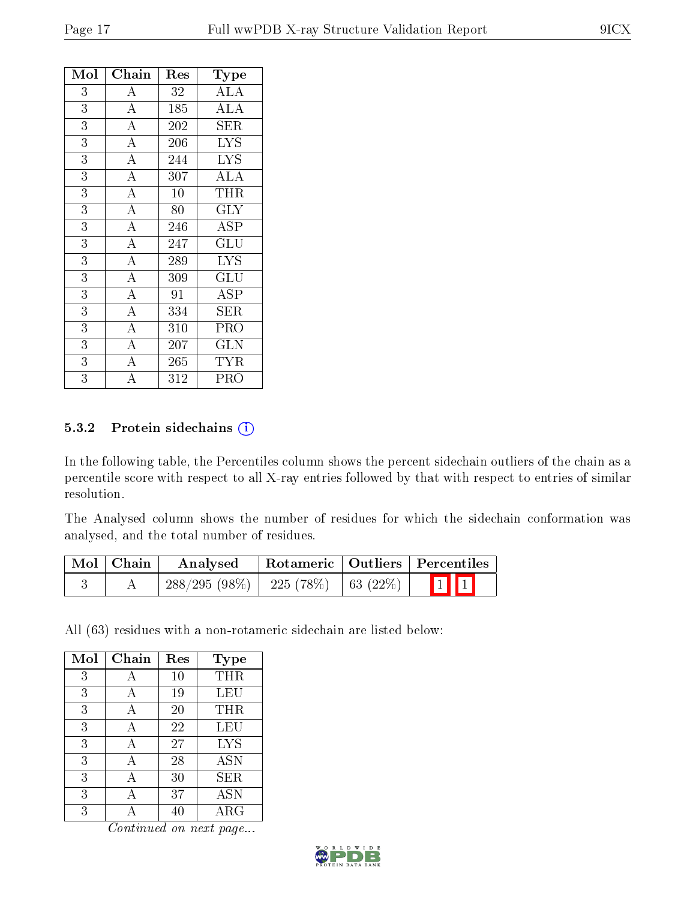| Mol            | Chain              | Res | Type                      |
|----------------|--------------------|-----|---------------------------|
| 3              | $\boldsymbol{A}$   | 32  | <b>ALA</b>                |
| 3              | $\overline{A}$     | 185 | <b>ALA</b>                |
| 3              | $\overline{\rm A}$ | 202 | ${\rm SER}$               |
| $\overline{3}$ | $\overline{A}$     | 206 | $\overline{\mathrm{LYS}}$ |
| 3              | $\overline{\rm A}$ | 244 | <b>LYS</b>                |
| $\overline{3}$ | $\overline{\rm A}$ | 307 | <b>ALA</b>                |
| $\overline{3}$ | $\overline{A}$     | 10  | THR                       |
| $\overline{3}$ | $\overline{\rm A}$ | 80  | <b>GLY</b>                |
| $\overline{3}$ | $\overline{\rm A}$ | 246 | ASP                       |
| 3              | $\overline{\rm A}$ | 247 | GLU                       |
| $\overline{3}$ | $\overline{\rm A}$ | 289 | $\overline{\text{LYS}}$   |
| 3              | $\overline{\rm A}$ | 309 | GLU                       |
| 3              | $\overline{\rm A}$ | 91  | ASP                       |
| 3              | $\overline{A}$     | 334 | SER                       |
| 3              | $\overline{A}$     | 310 | PRO                       |
| 3              | $\overline{\rm A}$ | 207 | GLN                       |
| 3              | $\overline{\rm A}$ | 265 | <b>TYR</b>                |
| 3              | A                  | 312 | PRO                       |

#### 5.3.2 Protein sidechains (i)

In the following table, the Percentiles column shows the percent sidechain outliers of the chain as a percentile score with respect to all X-ray entries followed by that with respect to entries of similar resolution.

The Analysed column shows the number of residues for which the sidechain conformation was analysed, and the total number of residues.

| Mol   Chain | Analysed        |                      | Rotameric   Outliers   Percentiles |
|-------------|-----------------|----------------------|------------------------------------|
|             | $288/295(98\%)$ | 225 (78%)   63 (22%) | $\prod$                            |

All (63) residues with a non-rotameric sidechain are listed below:

| Mol | Chain | Res | <b>Type</b> |
|-----|-------|-----|-------------|
| 3   |       | 10  | THR         |
| 3   | А     | 19  | LEU         |
| 3   | А     | 20  | THR         |
| 3   | А     | 22  | LEU         |
| 3   | А     | 27  | <b>LYS</b>  |
| 3   | А     | 28  | <b>ASN</b>  |
| 3   | А     | 30  | SER         |
| 3   |       | 37  | <b>ASN</b>  |
| 3   |       |     | ARG         |

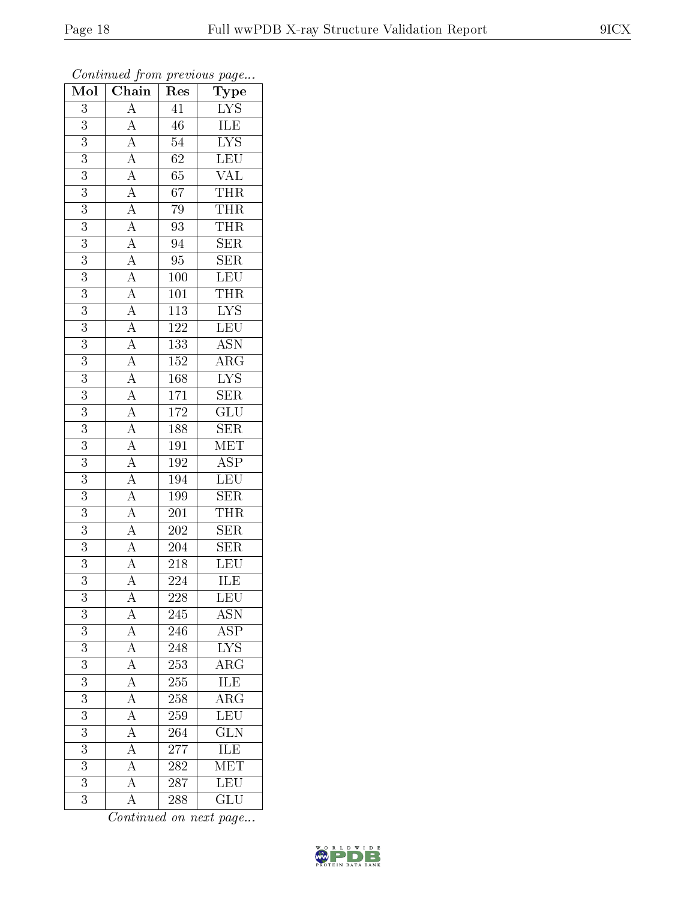| $\mathrm{\bar{Ty}pe}$<br>$\frac{A}{A} \frac{A}{A} \frac{A}{A} \frac{A}{A} \frac{A}{A} \frac{A}{A} \frac{A}{A} \frac{A}{A} \frac{A}{A} \frac{A}{A} \frac{A}{A} \frac{A}{A} \frac{A}{A} \frac{A}{A} \frac{A}{A} \frac{A}{A} \frac{A}{A} \frac{A}{A} \frac{A}{A} \frac{A}{A} \frac{A}{A} \frac{A}{A} \frac{A}{A} \frac{A}{A} \frac{A}{A} \frac{A}{A} \frac{A}{A} \frac{A}{A} \frac{A}{A} \frac{A}{A} \frac{A}{A} \frac{$<br>$\overline{41}$<br>$\frac{\text{LYS}}{\text{ILE}}$<br>3<br>$\overline{3}$<br>$\overline{46}$<br>$\overline{\text{LYS}}$<br>$\overline{3}$<br>$\overline{54}$ |  |
|---------------------------------------------------------------------------------------------------------------------------------------------------------------------------------------------------------------------------------------------------------------------------------------------------------------------------------------------------------------------------------------------------------------------------------------------------------------------------------------------------------------------------------------------------------------------------------------|--|
|                                                                                                                                                                                                                                                                                                                                                                                                                                                                                                                                                                                       |  |
|                                                                                                                                                                                                                                                                                                                                                                                                                                                                                                                                                                                       |  |
|                                                                                                                                                                                                                                                                                                                                                                                                                                                                                                                                                                                       |  |
| LEU<br>3<br>62                                                                                                                                                                                                                                                                                                                                                                                                                                                                                                                                                                        |  |
| <b>VAL</b><br>$\overline{3}$<br>$65\,$                                                                                                                                                                                                                                                                                                                                                                                                                                                                                                                                                |  |
| <b>THR</b><br>$\overline{67}$<br>3                                                                                                                                                                                                                                                                                                                                                                                                                                                                                                                                                    |  |
| $\overline{3}$<br>$\overline{\text{THR}}$<br>$79\,$                                                                                                                                                                                                                                                                                                                                                                                                                                                                                                                                   |  |
| <b>THR</b><br>$\overline{3}$<br>93                                                                                                                                                                                                                                                                                                                                                                                                                                                                                                                                                    |  |
| 3<br>94<br>${\rm SER}$                                                                                                                                                                                                                                                                                                                                                                                                                                                                                                                                                                |  |
| $\overline{\text{SER}}$<br>$\overline{3}$<br>$\overline{95}$                                                                                                                                                                                                                                                                                                                                                                                                                                                                                                                          |  |
| LEU<br>$\overline{3}$<br>$100\,$                                                                                                                                                                                                                                                                                                                                                                                                                                                                                                                                                      |  |
| $\overline{3}$<br>$\overline{101}$                                                                                                                                                                                                                                                                                                                                                                                                                                                                                                                                                    |  |
| $\frac{\overline{\text{THR}}}{\text{LYS}}$<br>$\overline{3}$<br>$\overline{113}$                                                                                                                                                                                                                                                                                                                                                                                                                                                                                                      |  |
| LEU<br><sup>122</sup><br>$\overline{3}$                                                                                                                                                                                                                                                                                                                                                                                                                                                                                                                                               |  |
| <b>ASN</b><br>$\overline{3}$<br>133                                                                                                                                                                                                                                                                                                                                                                                                                                                                                                                                                   |  |
| $\overline{3}$<br>$\overline{\text{ARG}}$<br>$152\,$                                                                                                                                                                                                                                                                                                                                                                                                                                                                                                                                  |  |
| $\overline{\text{LYS}}$<br>$\overline{3}$<br>168                                                                                                                                                                                                                                                                                                                                                                                                                                                                                                                                      |  |
| SER<br>3<br>$\overline{171}$                                                                                                                                                                                                                                                                                                                                                                                                                                                                                                                                                          |  |
| $\overline{\text{GLU}}$<br>172<br>$\overline{3}$                                                                                                                                                                                                                                                                                                                                                                                                                                                                                                                                      |  |
| $\overline{\text{SER}}$<br>$\overline{3}$<br>188                                                                                                                                                                                                                                                                                                                                                                                                                                                                                                                                      |  |
| MET<br>$\overline{3}$<br>$19\overline{1}$                                                                                                                                                                                                                                                                                                                                                                                                                                                                                                                                             |  |
| $\overline{\text{ASP}}$<br>$\overline{3}$<br>192                                                                                                                                                                                                                                                                                                                                                                                                                                                                                                                                      |  |
| LEU<br>3<br>194                                                                                                                                                                                                                                                                                                                                                                                                                                                                                                                                                                       |  |
| $\overline{3}$<br>199<br>$\overline{\text{SER}}$                                                                                                                                                                                                                                                                                                                                                                                                                                                                                                                                      |  |
| <b>THR</b><br>$\overline{3}$<br>201                                                                                                                                                                                                                                                                                                                                                                                                                                                                                                                                                   |  |
| $\overline{3}$<br>$\overline{\text{SER}}$<br>$\overline{202}$                                                                                                                                                                                                                                                                                                                                                                                                                                                                                                                         |  |
| $\overline{\text{SER}}$<br>$\overline{3}$<br>$\overline{204}$                                                                                                                                                                                                                                                                                                                                                                                                                                                                                                                         |  |
| 3<br>$218\,$<br>LEU                                                                                                                                                                                                                                                                                                                                                                                                                                                                                                                                                                   |  |
| ILE<br>$\overline{3}$<br>$\overline{224}$                                                                                                                                                                                                                                                                                                                                                                                                                                                                                                                                             |  |
| LEU<br>$\overline{3}$<br>228<br>А                                                                                                                                                                                                                                                                                                                                                                                                                                                                                                                                                     |  |
| $\overline{A}$<br>3<br><b>ASN</b><br>245                                                                                                                                                                                                                                                                                                                                                                                                                                                                                                                                              |  |
| $\overline{3}$<br>$\overline{\text{ASP}}$<br>246                                                                                                                                                                                                                                                                                                                                                                                                                                                                                                                                      |  |
| $\frac{\overline{A}}{\overline{A}}$<br>$\overline{\text{LYS}}$<br>$\boldsymbol{3}$<br>248                                                                                                                                                                                                                                                                                                                                                                                                                                                                                             |  |
| $\overline{\rm{ARG}}$<br>$\overline{3}$<br>$\overline{253}$                                                                                                                                                                                                                                                                                                                                                                                                                                                                                                                           |  |
| $\overline{A}$<br><b>ILE</b><br>$\overline{3}$<br>255                                                                                                                                                                                                                                                                                                                                                                                                                                                                                                                                 |  |
| $\frac{1}{\mathbf{A}}$<br>$\overline{\rm ARG}$<br>$\overline{3}$<br>258                                                                                                                                                                                                                                                                                                                                                                                                                                                                                                               |  |
| $\overline{A}$<br>LEU<br>$\boldsymbol{3}$<br>259                                                                                                                                                                                                                                                                                                                                                                                                                                                                                                                                      |  |
| $\overline{A}$<br>$\overline{\text{GLN}}$<br>3<br>264                                                                                                                                                                                                                                                                                                                                                                                                                                                                                                                                 |  |
| $\overline{A}$<br>ILE<br>3<br>277                                                                                                                                                                                                                                                                                                                                                                                                                                                                                                                                                     |  |
| $\overline{A}$<br>$\overline{3}$<br>$\overline{\text{MET}}$<br>282                                                                                                                                                                                                                                                                                                                                                                                                                                                                                                                    |  |
| $\overline{A}$<br>LEU<br>$\overline{3}$<br>287                                                                                                                                                                                                                                                                                                                                                                                                                                                                                                                                        |  |
| $\overline{\rm A}$<br>GLU<br>3<br>288                                                                                                                                                                                                                                                                                                                                                                                                                                                                                                                                                 |  |

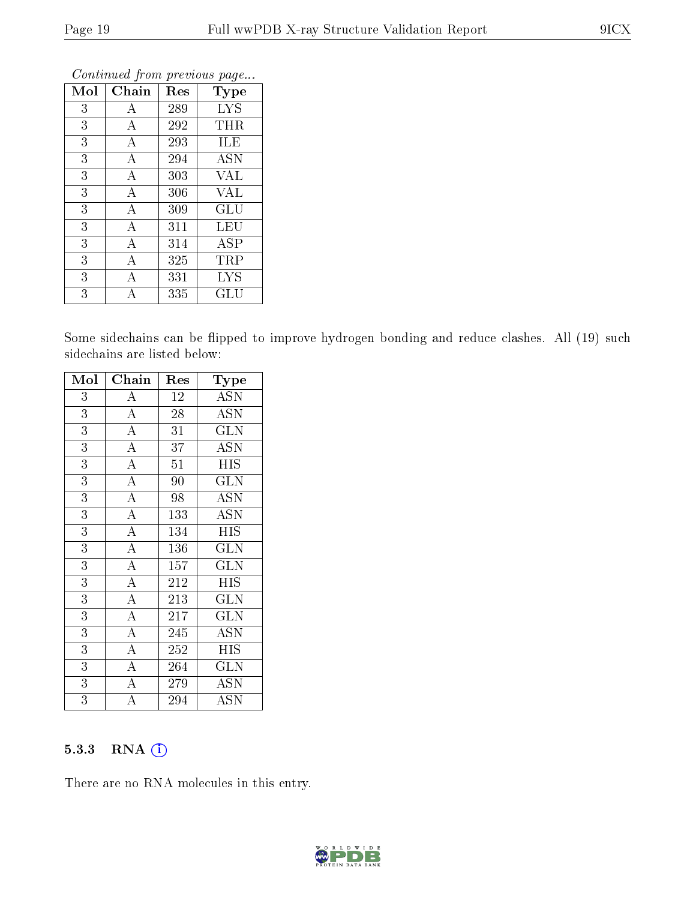| Mol | Chain            | Res | Type                 |
|-----|------------------|-----|----------------------|
| 3   | А                | 289 | <b>LYS</b>           |
| 3   | А                | 292 | THR                  |
| 3   | А                | 293 | <b>ILE</b>           |
| 3   | $\boldsymbol{A}$ | 294 | <b>ASN</b>           |
| 3   | А                | 303 | <b>VAL</b>           |
| 3   | $\overline{A}$   | 306 | <b>VAL</b>           |
| 3   | А                | 309 | GLU                  |
| 3   | А                | 311 | LEU                  |
| 3   | А                | 314 | <b>ASP</b>           |
| 3   | A                | 325 | TRP                  |
| 3   | А                | 331 | <b>LYS</b>           |
| 3   | А                | 335 | $\operatorname{GLU}$ |

Some sidechains can be flipped to improve hydrogen bonding and reduce clashes. All (19) such sidechains are listed below:

| Mol            | Chain              | Res | Type                      |
|----------------|--------------------|-----|---------------------------|
| 3              | A                  | 12  | <b>ASN</b>                |
| $\overline{3}$ | $\overline{A}$     | 28  | <b>ASN</b>                |
| 3              | $\overline{A}$     | 31  | <b>GLN</b>                |
| 3              | $\overline{\rm A}$ | 37  | ASN                       |
| $\overline{3}$ | $\overline{A}$     | 51  | <b>HIS</b>                |
| $\overline{3}$ | $\overline{\rm A}$ | 90  | <b>GLN</b>                |
| $\overline{3}$ | $\overline{A}$     | 98  | $\overline{\mathrm{ASN}}$ |
| 3              | $\overline{\rm A}$ | 133 | <b>ASN</b>                |
| $\overline{3}$ | $\overline{A}$     | 134 | <b>HIS</b>                |
| $\overline{3}$ | $\overline{A}$     | 136 | <b>GLN</b>                |
| 3              | $\overline{\rm A}$ | 157 | <b>GLN</b>                |
| $\overline{3}$ | $\overline{\rm A}$ | 212 | <b>HIS</b>                |
| 3              | $\overline{A}$     | 213 | <b>GLN</b>                |
| 3              | $\overline{\rm A}$ | 217 | <b>GLN</b>                |
| $\overline{3}$ | $\overline{A}$     | 245 | $\overline{\mathrm{ASN}}$ |
| $\overline{3}$ | $\overline{\rm A}$ | 252 | <b>HIS</b>                |
| $\overline{3}$ | $\overline{\rm A}$ | 264 | $\overline{\text{GLN}}$   |
| 3              | $\overline{\rm A}$ | 279 | <b>ASN</b>                |
| 3              | $\overline{\rm A}$ | 294 | $\operatorname{ASN}$      |

#### 5.3.3 RNA [O](https://www.wwpdb.org/validation/2017/XrayValidationReportHelp#rna)i

There are no RNA molecules in this entry.

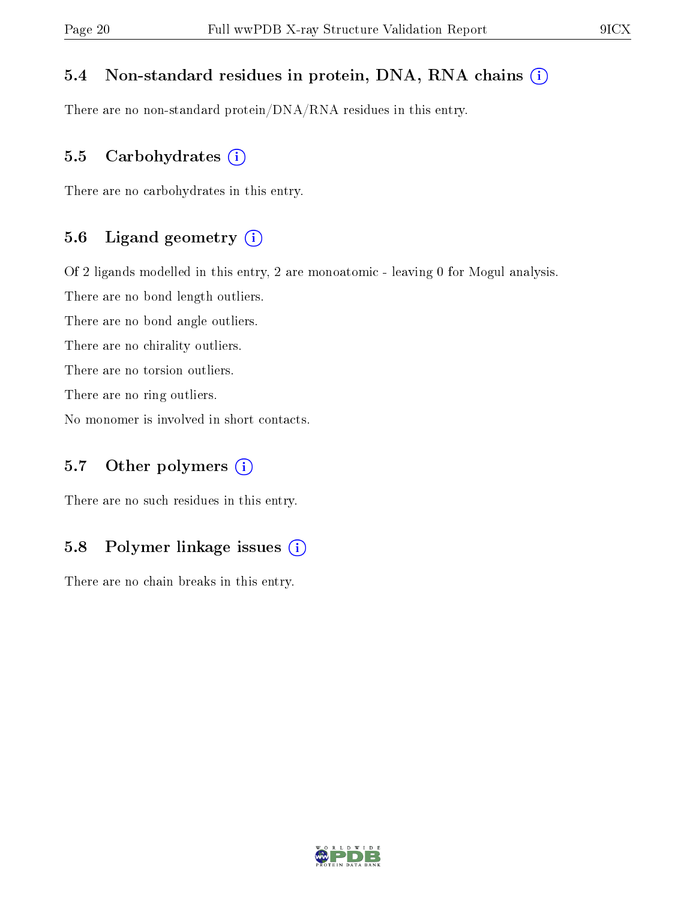#### 5.4 Non-standard residues in protein, DNA, RNA chains (i)

There are no non-standard protein/DNA/RNA residues in this entry.

#### 5.5 Carbohydrates  $(i)$

There are no carbohydrates in this entry.

#### 5.6 Ligand geometry (i)

Of 2 ligands modelled in this entry, 2 are monoatomic - leaving 0 for Mogul analysis.

There are no bond length outliers.

There are no bond angle outliers.

There are no chirality outliers.

There are no torsion outliers.

There are no ring outliers.

No monomer is involved in short contacts.

#### 5.7 [O](https://www.wwpdb.org/validation/2017/XrayValidationReportHelp#nonstandard_residues_and_ligands)ther polymers  $(i)$

There are no such residues in this entry.

#### 5.8 Polymer linkage issues  $(i)$

There are no chain breaks in this entry.

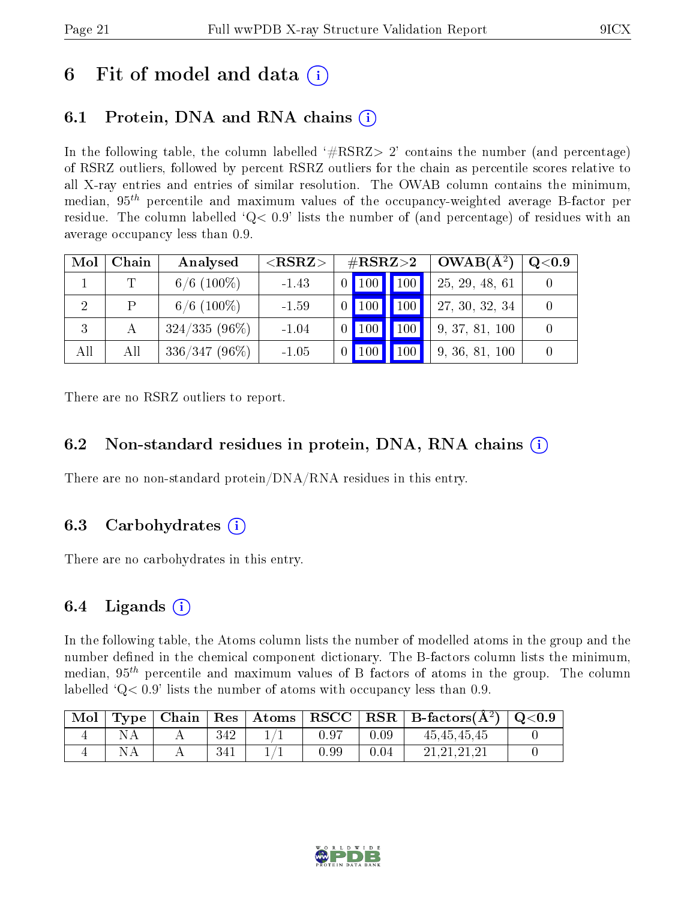## 6 Fit of model and data  $\circ$

### 6.1 Protein, DNA and RNA chains (i)

In the following table, the column labelled  $#RSRZ>2'$  contains the number (and percentage) of RSRZ outliers, followed by percent RSRZ outliers for the chain as percentile scores relative to all X-ray entries and entries of similar resolution. The OWAB column contains the minimum, median,  $95<sup>th</sup>$  percentile and maximum values of the occupancy-weighted average B-factor per residue. The column labelled  $Q< 0.9$  lists the number of (and percentage) of residues with an average occupancy less than 0.9.

| Mol            | Chain | Analysed        | ${ <\hspace{-1.5pt}{\mathrm{RSRZ}} \hspace{-1.5pt}>}$ | $\rm \#RSRZ{>}2$ |     | $OWAB(A^2)$    | $\rm Q\textcolor{black}{<}0.9$ |
|----------------|-------|-----------------|-------------------------------------------------------|------------------|-----|----------------|--------------------------------|
|                |       | $6/6$ (100\%)   | $-1.43$                                               | $\vert$ 100      | 100 | 25, 29, 48, 61 |                                |
| $\overline{2}$ | P     | $6/6$ (100\%)   | $-1.59$                                               | 100              | 100 | 27, 30, 32, 34 |                                |
|                |       | $324/335(96\%)$ | $-1.04$                                               | 100              | 100 | 9, 37, 81, 100 |                                |
| All            | All   | $336/347(96\%)$ | $-1.05$                                               |                  | 100 | 9, 36, 81, 100 |                                |

There are no RSRZ outliers to report.

#### 6.2 Non-standard residues in protein, DNA, RNA chains  $(i)$

There are no non-standard protein/DNA/RNA residues in this entry.

#### 6.3 Carbohydrates (i)

There are no carbohydrates in this entry.

#### 6.4 Ligands  $(i)$

In the following table, the Atoms column lists the number of modelled atoms in the group and the number defined in the chemical component dictionary. The B-factors column lists the minimum, median,  $95<sup>th</sup>$  percentile and maximum values of B factors of atoms in the group. The column labelled  $Q < 0.9$  lists the number of atoms with occupancy less than 0.9.

| Mol |  |     |      |      | $\boxed{\text{Type}$ Chain Res Atoms RSCC RSR B-factors $(A^2)$ Q<0.9 |  |
|-----|--|-----|------|------|-----------------------------------------------------------------------|--|
|     |  | 342 | 0.97 | 0.09 | 45,45,45,45                                                           |  |
|     |  | 341 | 0.99 | 0.04 | 21.21.21.21                                                           |  |